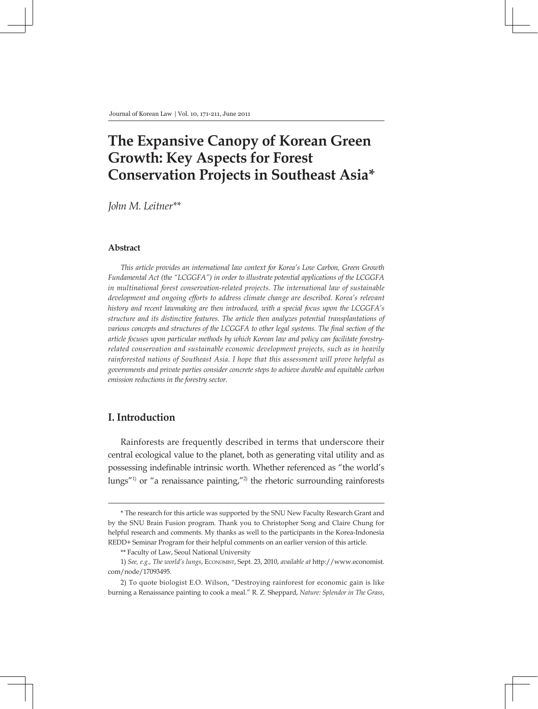# **The Expansive Canopy of Korean Green Growth: Key Aspects for Forest Conservation Projects in Southeast Asia\***

*John M. Leitner\*\**

### **Abstract**

*This article provides an international law context for Korea's Low Carbon, Green Growth Fundamental Act (the "LCGGFA") in order to illustrate potential applications of the LCGGFA in multinational forest conservation-related projects. The international law of sustainable development and ongoing efforts to address climate change are described. Korea's relevant history and recent lawmaking are then introduced, with a special focus upon the LCGGFA's structure and its distinctive features. The article then analyzes potential transplantations of various concepts and structures of the LCGGFA to other legal systems. The final section of the article focuses upon particular methods by which Korean law and policy can facilitate forestryrelated conservation and sustainable economic development projects, such as in heavily rainforested nations of Southeast Asia. I hope that this assessment will prove helpful as governments and private parties consider concrete steps to achieve durable and equitable carbon emission reductions in the forestry sector.*

# **I. Introduction**

Rainforests are frequently described in terms that underscore their central ecological value to the planet, both as generating vital utility and as possessing indefinable intrinsic worth. Whether referenced as "the world's lungs"1) or "a renaissance painting,"2) the rhetoric surrounding rainforests

<sup>\*</sup> The research for this article was supported by the SNU New Faculty Research Grant and by the SNU Brain Fusion program. Thank you to Christopher Song and Claire Chung for helpful research and comments. My thanks as well to the participants in the Korea-Indonesia REDD+ Seminar Program for their helpful comments on an earlier version of this article.

<sup>\*\*</sup> Faculty of Law, Seoul National University

<sup>1)</sup> *See, e.g., The world's lungs*, Economist, Sept. 23, 2010, *available at* http://www.economist. com/node/17093495.

<sup>2)</sup> To quote biologist E.O. Wilson, "Destroying rainforest for economic gain is like burning a Renaissance painting to cook a meal." R. Z. Sheppard, *Nature: Splendor in The Grass*,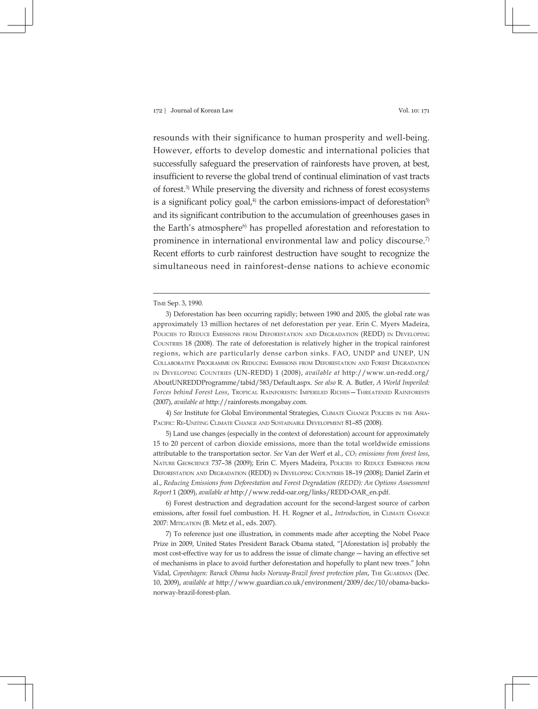resounds with their significance to human prosperity and well-being. However, efforts to develop domestic and international policies that successfully safeguard the preservation of rainforests have proven, at best, insufficient to reverse the global trend of continual elimination of vast tracts of forest.3) While preserving the diversity and richness of forest ecosystems is a significant policy goal, $4$ <sup>)</sup> the carbon emissions-impact of deforestation<sup>5)</sup> and its significant contribution to the accumulation of greenhouses gases in the Earth's atmosphere<sup>6)</sup> has propelled aforestation and reforestation to prominence in international environmental law and policy discourse.<sup>7)</sup> Recent efforts to curb rainforest destruction have sought to recognize the simultaneous need in rainforest-dense nations to achieve economic

4) *See* Institute for Global Environmental Strategies, Climate Change Policies in the Asia-PACIFIC: RE-UNITING CLIMATE CHANGE AND SUSTAINABLE DEVELOPMENT 81-85 (2008).

5) Land use changes (especially in the context of deforestation) account for approximately 15 to 20 percent of carbon dioxide emissions, more than the total worldwide emissions attributable to the transportation sector. See Van der Werf et al., *CO<sub>2</sub> emissions from forest loss*, Nature Geoscience 737–38 (2009); Erin C. Myers Madeira, Policies to Reduce Emissions from Deforestation and Degradation (REDD) in Developing Countries 18–19 (2008); Daniel Zarin et al., *Reducing Emissions from Deforestation and Forest Degradation (REDD): An Options Assessment Report* 1 (2009), *available at* http://www.redd-oar.org/links/REDD-OAR\_en.pdf.

6) Forest destruction and degradation account for the second-largest source of carbon emissions, after fossil fuel combustion. H. H. Rogner et al., *Introduction*, in CLIMATE CHANGE 2007: Mitigation (B. Metz et al., eds. 2007).

7) To reference just one illustration, in comments made after accepting the Nobel Peace Prize in 2009, United States President Barack Obama stated, "[Aforestation is] probably the most cost-effective way for us to address the issue of climate change ― having an effective set of mechanisms in place to avoid further deforestation and hopefully to plant new trees." John Vidal, *Copenhagen: Barack Obama backs Norway-Brazil forest protection plan*, The Guardian (Dec. 10, 2009), *available at* http://www.guardian.co.uk/environment/2009/dec/10/obama-backsnorway-brazil-forest-plan.

Time Sep. 3, 1990.

<sup>3)</sup> Deforestation has been occurring rapidly; between 1990 and 2005, the global rate was approximately 13 million hectares of net deforestation per year. Erin C. Myers Madeira, Policies to Reduce Emissions from Deforestation and Degradation (REDD) in Developing COUNTRIES 18 (2008). The rate of deforestation is relatively higher in the tropical rainforest regions, which are particularly dense carbon sinks. FAO, UNDP and UNEP, UN Collaborative Programme on Reducing Emissions from Deforestation and Forest Degradation in Developing Countries (UN-REDD) 1 (2008), *available at* http://www.un-redd.org/ AboutUNREDDProgramme/tabid/583/Default.aspx. *See also* R. A. Butler, *A World Imperiled: Forces behind Forest Loss*, Tropical Rainforests: Imperiled Riches—Threatened Rainforests (2007), *available at* http://rainforests.mongabay.com.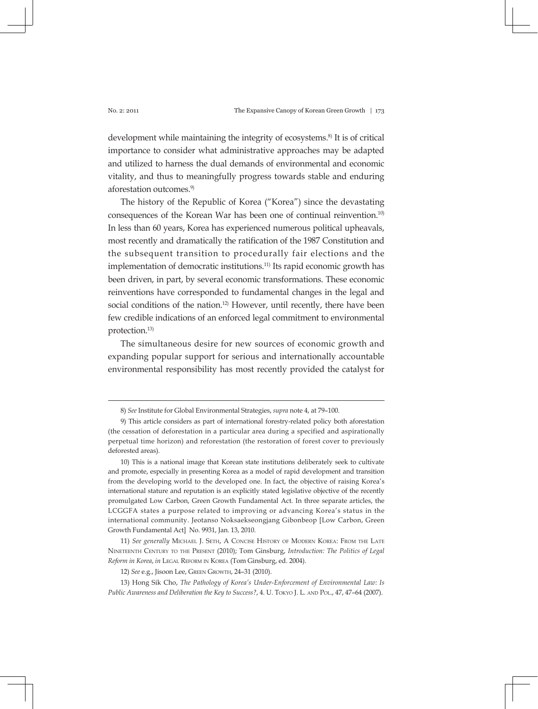development while maintaining the integrity of ecosystems.<sup>8)</sup> It is of critical importance to consider what administrative approaches may be adapted and utilized to harness the dual demands of environmental and economic vitality, and thus to meaningfully progress towards stable and enduring aforestation outcomes.9)

The history of the Republic of Korea ("Korea") since the devastating consequences of the Korean War has been one of continual reinvention.10) In less than 60 years, Korea has experienced numerous political upheavals, most recently and dramatically the ratification of the 1987 Constitution and the subsequent transition to procedurally fair elections and the implementation of democratic institutions.<sup>11)</sup> Its rapid economic growth has been driven, in part, by several economic transformations. These economic reinventions have corresponded to fundamental changes in the legal and social conditions of the nation.<sup>12)</sup> However, until recently, there have been few credible indications of an enforced legal commitment to environmental protection.13)

The simultaneous desire for new sources of economic growth and expanding popular support for serious and internationally accountable environmental responsibility has most recently provided the catalyst for

<sup>8)</sup> *See* Institute for Global Environmental Strategies, *supra* note 4, at 79–100.

<sup>9)</sup> This article considers as part of international forestry-related policy both aforestation (the cessation of deforestation in a particular area during a specified and aspirationally perpetual time horizon) and reforestation (the restoration of forest cover to previously deforested areas).

<sup>10)</sup> This is a national image that Korean state institutions deliberately seek to cultivate and promote, especially in presenting Korea as a model of rapid development and transition from the developing world to the developed one. In fact, the objective of raising Korea's international stature and reputation is an explicitly stated legislative objective of the recently promulgated Low Carbon, Green Growth Fundamental Act. In three separate articles, the LCGGFA states a purpose related to improving or advancing Korea's status in the international community. Jeotanso Noksaekseongjang Gibonbeop [Low Carbon, Green Growth Fundamental Act] No. 9931, Jan. 13, 2010.

<sup>11)</sup> *See generally* Michael J. Seth, A Concise History of Modern Korea: From the Late Nineteenth Century to the Present (2010); Tom Ginsburg, *Introduction: The Politics of Legal Reform in Korea*, *in* Legal Reform in Korea (Tom Ginsburg, ed. 2004).

<sup>12)</sup> *See* e.g., Jisoon Lee, Green Growth, 24–31 (2010).

<sup>13)</sup> Hong Sik Cho, *The Pathology of Korea's Under-Enforcement of Environmental Law: Is*  Public Awareness and Deliberation the Key to Success?, 4. U. Tokyo J. L. AND Pol., 47, 47-64 (2007).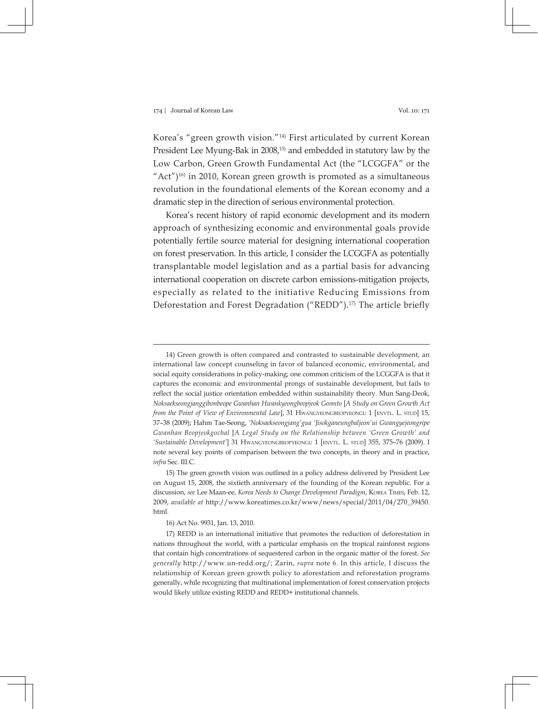Korea's "green growth vision."14) First articulated by current Korean President Lee Myung-Bak in 2008,<sup>15)</sup> and embedded in statutory law by the Low Carbon, Green Growth Fundamental Act (the "LCGGFA" or the "Act")<sup>16)</sup> in 2010, Korean green growth is promoted as a simultaneous revolution in the foundational elements of the Korean economy and a dramatic step in the direction of serious environmental protection.

Korea's recent history of rapid economic development and its modern approach of synthesizing economic and environmental goals provide potentially fertile source material for designing international cooperation on forest preservation. In this article, I consider the LCGGFA as potentially transplantable model legislation and as a partial basis for advancing international cooperation on discrete carbon emissions-mitigation projects, especially as related to the initiative Reducing Emissions from Deforestation and Forest Degradation ("REDD").<sup>17)</sup> The article briefly

<sup>14)</sup> Green growth is often compared and contrasted to sustainable development, an international law concept counseling in favor of balanced economic, environmental, and social equity considerations in policy-making; one common criticism of the LCGGFA is that it captures the economic and environmental prongs of sustainable development, but fails to reflect the social justice orientation embedded within sustainability theory. Mun Sang-Deok, *Noksaekseongjanggibonbeope Gwanhan Hwankyeongbeopjeok Geomto* [*A Study on Green Growth Act from the Point of View of Environmental Law*], 31 Hwangyeongbeopyeongu 1 [envtl. L. stud] 15, 37–38 (2009); Hahm Tae-Seong, *'Noksaekseongjang'gua 'Jisokganeungbaljeon'ui Gwangyejeongripe Gwanhan Beopjeokgochal* [*A Legal Study on the Relationship between 'Green Growth' and 'Sustainable Development'*] 31 Hwangyeongbeopyeongu 1 [envtl. L. stud] 355, 375–76 (2009). I note several key points of comparison between the two concepts, in theory and in practice, *infra* Sec. III.C.

<sup>15)</sup> The green growth vision was outlined in a policy address delivered by President Lee on August 15, 2008, the sixtieth anniversary of the founding of the Korean republic. For a discussion, *see* Lee Maan-ee, *Korea Needs to Change Development Paradigm*, Korea Times, Feb. 12, 2009, *available at* http://www.koreatimes.co.kr/www/news/special/2011/04/270\_39450. html.

<sup>16)</sup> Act No. 9931, Jan. 13, 2010.

<sup>17)</sup> REDD is an international initiative that promotes the reduction of deforestation in nations throughout the world, with a particular emphasis on the tropical rainforest regions that contain high concentrations of sequestered carbon in the organic matter of the forest. *See generally* http://www.un-redd.org/; Zarin, *supra* note 6. In this article, I discuss the relationship of Korean green growth policy to aforestation and reforestation programs generally, while recognizing that multinational implementation of forest conservation projects would likely utilize existing REDD and REDD+ institutional channels.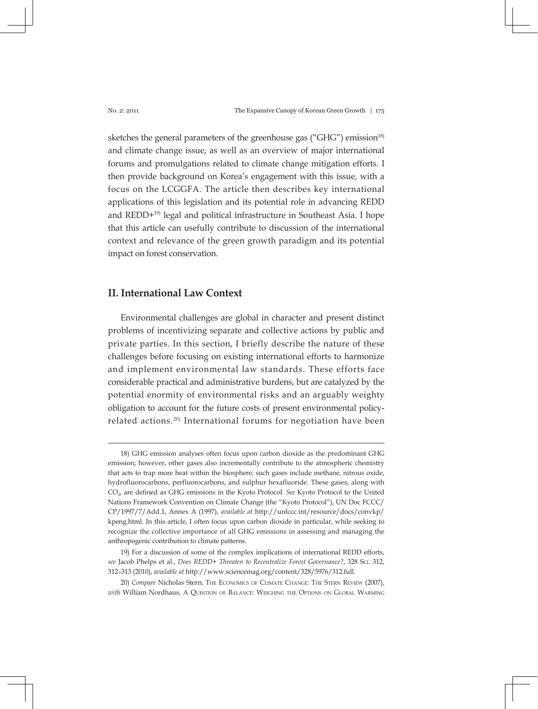sketches the general parameters of the greenhouse gas ("GHG") emission<sup>18)</sup> and climate change issue, as well as an overview of major international forums and promulgations related to climate change mitigation efforts. I then provide background on Korea's engagement with this issue, with a focus on the LCGGFA. The article then describes key international applications of this legislation and its potential role in advancing REDD and REDD+19) legal and political infrastructure in Southeast Asia. I hope that this article can usefully contribute to discussion of the international context and relevance of the green growth paradigm and its potential impact on forest conservation.

# **II. International Law Context**

Environmental challenges are global in character and present distinct problems of incentivizing separate and collective actions by public and private parties. In this section, I briefly describe the nature of these challenges before focusing on existing international efforts to harmonize and implement environmental law standards. These efforts face considerable practical and administrative burdens, but are catalyzed by the potential enormity of environmental risks and an arguably weighty obligation to account for the future costs of present environmental policyrelated actions.<sup>20)</sup> International forums for negotiation have been

<sup>18)</sup> GHG emission analyses often focus upon carbon dioxide as the predominant GHG emission; however, other gases also incrementally contribute to the atmospheric chemistry that acts to trap more heat within the biosphere; such gases include methane, nitrous oxide, hydrofluorocarbons, perfluorocarbons, and sulphur hexafluoride. These gases, along with CO2, are defined as GHG emissions in the Kyoto Protocol. *See* Kyoto Protocol to the United Nations Framework Convention on Climate Change (the "Kyoto Protocol"), UN Doc FCCC/ CP/1997/7/Add.1, Annex A (1997), *available at* http://unfccc.int/resource/docs/convkp/ kpeng.html. In this article, I often focus upon carbon dioxide in particular, while seeking to recognize the collective importance of all GHG emissions in assessing and managing the anthropogenic contribution to climate patterns.

<sup>19)</sup> For a discussion of some of the complex implications of international REDD efforts, *see* Jacob Phelps et al., *Does REDD+ Threaten to Recentralize Forest Governance?*, 328 Sci. 312, 312–313 (2010), *available at* http://www.sciencemag.org/content/328/5976/312.full.

<sup>20)</sup> *Compare* Nicholas Stern, The Economics of Climate Change: The Stern Review (2007), *with* William Nordhaus, A Question of Balance: Weighing the Options on Global Warming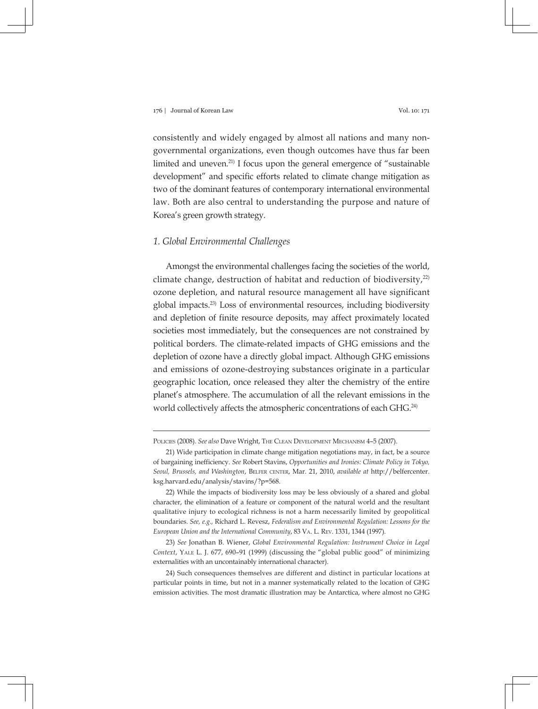consistently and widely engaged by almost all nations and many nongovernmental organizations, even though outcomes have thus far been limited and uneven.21) I focus upon the general emergence of "sustainable development" and specific efforts related to climate change mitigation as two of the dominant features of contemporary international environmental law. Both are also central to understanding the purpose and nature of Korea's green growth strategy.

# *1. Global Environmental Challenges*

Amongst the environmental challenges facing the societies of the world, climate change, destruction of habitat and reduction of biodiversity, $22$ ) ozone depletion, and natural resource management all have significant global impacts.23) Loss of environmental resources, including biodiversity and depletion of finite resource deposits, may affect proximately located societies most immediately, but the consequences are not constrained by political borders. The climate-related impacts of GHG emissions and the depletion of ozone have a directly global impact. Although GHG emissions and emissions of ozone-destroying substances originate in a particular geographic location, once released they alter the chemistry of the entire planet's atmosphere. The accumulation of all the relevant emissions in the world collectively affects the atmospheric concentrations of each GHG.<sup>24)</sup>

Policies (2008). *See also* Dave Wright, The Clean Development Mechanism 4–5 (2007).

<sup>21)</sup> Wide participation in climate change mitigation negotiations may, in fact, be a source of bargaining inefficiency. *See* Robert Stavins, *Opportunities and Ironies: Climate Policy in Tokyo, Seoul, Brussels, and Washington*, Belfer center, Mar. 21, 2010, *available at* http://belfercenter. ksg.harvard.edu/analysis/stavins/?p=568.

<sup>22)</sup> While the impacts of biodiversity loss may be less obviously of a shared and global character, the elimination of a feature or component of the natural world and the resultant qualitative injury to ecological richness is not a harm necessarily limited by geopolitical boundaries. *See, e.g.,* Richard L. Revesz, *Federalism and Environmental Regulation: Lessons for the European Union and the International Community*, 83 Va. L. Rev. 1331, 1344 (1997).

<sup>23)</sup> *See* Jonathan B. Wiener, *Global Environmental Regulation: Instrument Choice in Legal Context*, Yale L. J. 677, 690–91 (1999) (discussing the "global public good" of minimizing externalities with an uncontainably international character).

<sup>24)</sup> Such consequences themselves are different and distinct in particular locations at particular points in time, but not in a manner systematically related to the location of GHG emission activities. The most dramatic illustration may be Antarctica, where almost no GHG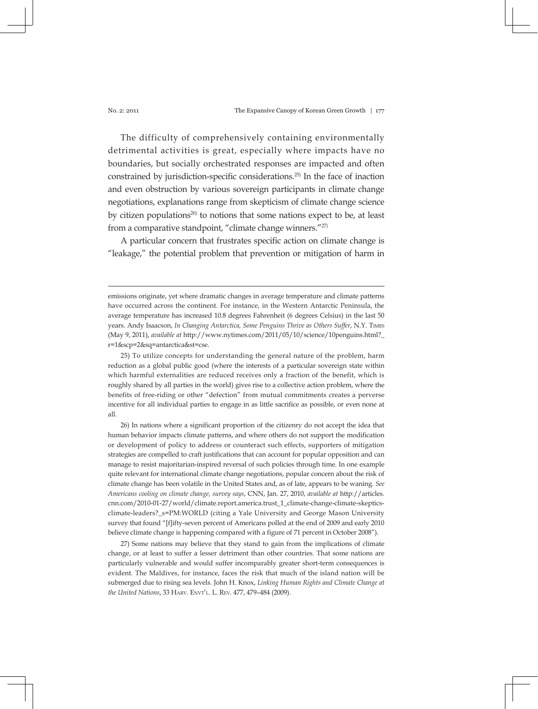The difficulty of comprehensively containing environmentally detrimental activities is great, especially where impacts have no boundaries, but socially orchestrated responses are impacted and often constrained by jurisdiction-specific considerations.25) In the face of inaction and even obstruction by various sovereign participants in climate change negotiations, explanations range from skepticism of climate change science by citizen populations<sup>26)</sup> to notions that some nations expect to be, at least from a comparative standpoint, "climate change winners."<sup>27)</sup>

A particular concern that frustrates specific action on climate change is "leakage," the potential problem that prevention or mitigation of harm in

25) To utilize concepts for understanding the general nature of the problem, harm reduction as a global public good (where the interests of a particular sovereign state within which harmful externalities are reduced receives only a fraction of the benefit, which is roughly shared by all parties in the world) gives rise to a collective action problem, where the benefits of free-riding or other "defection" from mutual commitments creates a perverse incentive for all individual parties to engage in as little sacrifice as possible, or even none at all.

26) In nations where a significant proportion of the citizenry do not accept the idea that human behavior impacts climate patterns, and where others do not support the modification or development of policy to address or counteract such effects, supporters of mitigation strategies are compelled to craft justifications that can account for popular opposition and can manage to resist majoritarian-inspired reversal of such policies through time. In one example quite relevant for international climate change negotiations, popular concern about the risk of climate change has been volatile in the United States and, as of late, appears to be waning. *See Americans cooling on climate change, survey says*, CNN, Jan. 27, 2010, *available at* http://articles. cnn.com/2010-01-27/world/climate.report.america.trust\_1\_climate-change-climate-skepticsclimate-leaders?\_s=PM:WORLD (citing a Yale University and George Mason University survey that found "[f]ifty-seven percent of Americans polled at the end of 2009 and early 2010 believe climate change is happening compared with a figure of 71 percent in October 2008").

27) Some nations may believe that they stand to gain from the implications of climate change, or at least to suffer a lesser detriment than other countries. That some nations are particularly vulnerable and would suffer incomparably greater short-term consequences is evident. The Maldives, for instance, faces the risk that much of the island nation will be submerged due to rising sea levels. John H. Knox, *Linking Human Rights and Climate Change at the United Nations,* 33 HARV. ENVT'L. L. REV. 477, 479-484 (2009).

emissions originate, yet where dramatic changes in average temperature and climate patterns have occurred across the continent. For instance, in the Western Antarctic Peninsula, the average temperature has increased 10.8 degrees Fahrenheit (6 degrees Celsius) in the last 50 years. Andy Isaacson, *In Changing Antarctica, Some Penguins Thrive as Others Suffer*, N.Y. Times (May 9, 2011), *available at* http://www.nytimes.com/2011/05/10/science/10penguins.html?\_ r=1&scp=2&sq=antarctica&st=cse.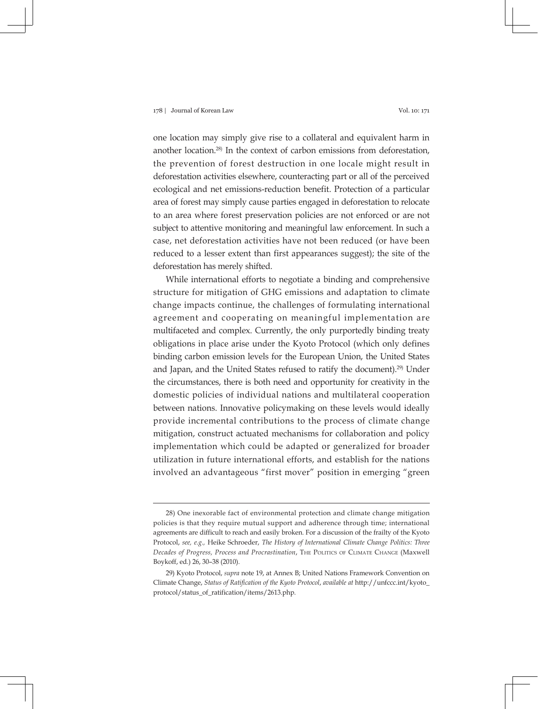one location may simply give rise to a collateral and equivalent harm in another location.28) In the context of carbon emissions from deforestation, the prevention of forest destruction in one locale might result in deforestation activities elsewhere, counteracting part or all of the perceived ecological and net emissions-reduction benefit. Protection of a particular area of forest may simply cause parties engaged in deforestation to relocate to an area where forest preservation policies are not enforced or are not subject to attentive monitoring and meaningful law enforcement. In such a case, net deforestation activities have not been reduced (or have been reduced to a lesser extent than first appearances suggest); the site of the deforestation has merely shifted.

While international efforts to negotiate a binding and comprehensive structure for mitigation of GHG emissions and adaptation to climate change impacts continue, the challenges of formulating international agreement and cooperating on meaningful implementation are multifaceted and complex. Currently, the only purportedly binding treaty obligations in place arise under the Kyoto Protocol (which only defines binding carbon emission levels for the European Union, the United States and Japan, and the United States refused to ratify the document).29) Under the circumstances, there is both need and opportunity for creativity in the domestic policies of individual nations and multilateral cooperation between nations. Innovative policymaking on these levels would ideally provide incremental contributions to the process of climate change mitigation, construct actuated mechanisms for collaboration and policy implementation which could be adapted or generalized for broader utilization in future international efforts, and establish for the nations involved an advantageous "first mover" position in emerging "green

<sup>28)</sup> One inexorable fact of environmental protection and climate change mitigation policies is that they require mutual support and adherence through time; international agreements are difficult to reach and easily broken. For a discussion of the frailty of the Kyoto Protocol, *see, e.g.,* Heike Schroeder, *The History of International Climate Change Politics: Three Decades of Progress, Process and Procrastination*, The Politics of Climate Change (Maxwell Boykoff, ed.) 26, 30–38 (2010).

<sup>29)</sup> Kyoto Protocol, *supra* note 19, at Annex B; United Nations Framework Convention on Climate Change, *Status of Ratification of the Kyoto Protocol*, *available at* http://unfccc.int/kyoto\_ protocol/status\_of\_ratification/items/2613.php.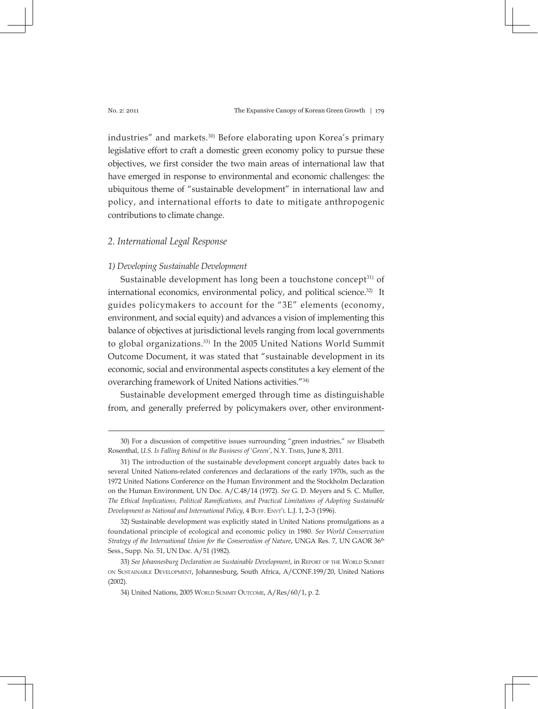industries" and markets.<sup>30)</sup> Before elaborating upon Korea's primary legislative effort to craft a domestic green economy policy to pursue these objectives, we first consider the two main areas of international law that have emerged in response to environmental and economic challenges: the ubiquitous theme of "sustainable development" in international law and policy, and international efforts to date to mitigate anthropogenic contributions to climate change.

# *2. International Legal Response*

### *1) Developing Sustainable Development*

Sustainable development has long been a touchstone concept $31$  of international economics, environmental policy, and political science.<sup>32)</sup> It guides policymakers to account for the "3E" elements (economy, environment, and social equity) and advances a vision of implementing this balance of objectives at jurisdictional levels ranging from local governments to global organizations.33) In the 2005 United Nations World Summit Outcome Document, it was stated that "sustainable development in its economic, social and environmental aspects constitutes a key element of the overarching framework of United Nations activities."34)

Sustainable development emerged through time as distinguishable from, and generally preferred by policymakers over, other environment-

<sup>30)</sup> For a discussion of competitive issues surrounding "green industries," *see* Elisabeth Rosenthal, *U.S. Is Falling Behind in the Business of 'Green'*, N.Y. Times, June 8, 2011.

<sup>31)</sup> The introduction of the sustainable development concept arguably dates back to several United Nations-related conferences and declarations of the early 1970s, such as the 1972 United Nations Conference on the Human Environment and the Stockholm Declaration on the Human Environment, UN Doc. A/C.48/14 (1972). *See* G. D. Meyers and S. C. Muller, *The Ethical Implications, Political Ramifications, and Practical Limitations of Adopting Sustainable Development as National and International Policy, 4 BuFF. ENVT'L L.J. 1, 2–3 (1996).* 

<sup>32)</sup> Sustainable development was explicitly stated in United Nations promulgations as a foundational principle of ecological and economic policy in 1980. *See World Conservation Strategy of the International Union for the Conservation of Nature*, UNGA Res. 7, UN GAOR 36<sup>th</sup> Sess., Supp. No. 51, UN Doc. A/51 (1982).

<sup>33)</sup> See Johannesburg Declaration on Sustainable Development, in REPORT OF THE WORLD SUMMIT on Sustainable Development, Johannesburg, South Africa, A/CONF.199/20, United Nations (2002).

<sup>34)</sup> United Nations, 2005 WORLD SUMMIT OUTCOME, A/Res/60/1, p. 2.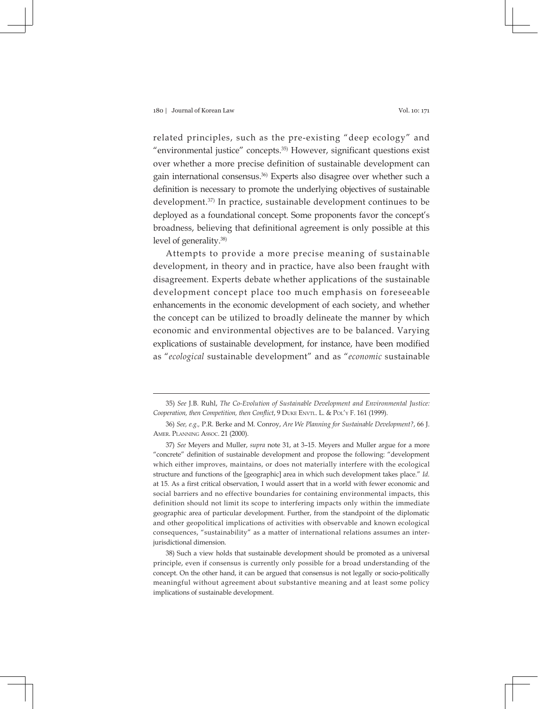related principles, such as the pre-existing "deep ecology" and "environmental justice" concepts.35) However, significant questions exist over whether a more precise definition of sustainable development can gain international consensus.36) Experts also disagree over whether such a definition is necessary to promote the underlying objectives of sustainable development.37) In practice, sustainable development continues to be deployed as a foundational concept. Some proponents favor the concept's broadness, believing that definitional agreement is only possible at this level of generality.<sup>38)</sup>

Attempts to provide a more precise meaning of sustainable development, in theory and in practice, have also been fraught with disagreement. Experts debate whether applications of the sustainable development concept place too much emphasis on foreseeable enhancements in the economic development of each society, and whether the concept can be utilized to broadly delineate the manner by which economic and environmental objectives are to be balanced. Varying explications of sustainable development, for instance, have been modified as "*ecological* sustainable development" and as "*economic* sustainable

<sup>35)</sup> *See* J.B. Ruhl, *The Co-Evolution of Sustainable Development and Environmental Justice: Cooperation, then Competition, then Conflict, 9 DUKE ENVTL. L. & POL'Y F. 161 (1999).* 

<sup>36)</sup> *See, e.g.,* P.R. Berke and M. Conroy, *Are We Planning for Sustainable Development?*, 66 J. Amer. Planning Assoc. 21 (2000).

<sup>37)</sup> *See* Meyers and Muller, *supra* note 31, at 3–15. Meyers and Muller argue for a more "concrete" definition of sustainable development and propose the following: "development which either improves, maintains, or does not materially interfere with the ecological structure and functions of the [geographic] area in which such development takes place." *Id.* at 15. As a first critical observation, I would assert that in a world with fewer economic and social barriers and no effective boundaries for containing environmental impacts, this definition should not limit its scope to interfering impacts only within the immediate geographic area of particular development. Further, from the standpoint of the diplomatic and other geopolitical implications of activities with observable and known ecological consequences, "sustainability" as a matter of international relations assumes an interjurisdictional dimension.

<sup>38)</sup> Such a view holds that sustainable development should be promoted as a universal principle, even if consensus is currently only possible for a broad understanding of the concept. On the other hand, it can be argued that consensus is not legally or socio-politically meaningful without agreement about substantive meaning and at least some policy implications of sustainable development.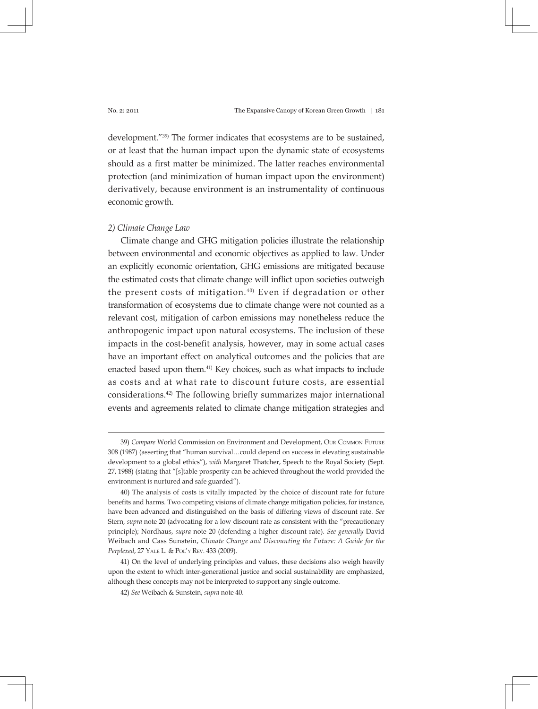development."39) The former indicates that ecosystems are to be sustained, or at least that the human impact upon the dynamic state of ecosystems should as a first matter be minimized. The latter reaches environmental protection (and minimization of human impact upon the environment) derivatively, because environment is an instrumentality of continuous economic growth.

### *2) Climate Change Law*

Climate change and GHG mitigation policies illustrate the relationship between environmental and economic objectives as applied to law. Under an explicitly economic orientation, GHG emissions are mitigated because the estimated costs that climate change will inflict upon societies outweigh the present costs of mitigation. 40) Even if degradation or other transformation of ecosystems due to climate change were not counted as a relevant cost, mitigation of carbon emissions may nonetheless reduce the anthropogenic impact upon natural ecosystems. The inclusion of these impacts in the cost-benefit analysis, however, may in some actual cases have an important effect on analytical outcomes and the policies that are enacted based upon them.41) Key choices, such as what impacts to include as costs and at what rate to discount future costs, are essential considerations.42) The following briefly summarizes major international events and agreements related to climate change mitigation strategies and

<sup>39)</sup> *Compare* World Commission on Environment and Development, Our Common Future 308 (1987) (asserting that "human survival…could depend on success in elevating sustainable development to a global ethics"), *with* Margaret Thatcher, Speech to the Royal Society (Sept. 27, 1988) (stating that "[s]table prosperity can be achieved throughout the world provided the environment is nurtured and safe guarded").

<sup>40)</sup> The analysis of costs is vitally impacted by the choice of discount rate for future benefits and harms. Two competing visions of climate change mitigation policies, for instance, have been advanced and distinguished on the basis of differing views of discount rate. *See*  Stern, *supra* note 20 (advocating for a low discount rate as consistent with the "precautionary principle); Nordhaus, *supra* note 20 (defending a higher discount rate). *See generally* David Weibach and Cass Sunstein, *Climate Change and Discounting the Future: A Guide for the Perplexed*, 27 Yale L. & Pol'y Rev. 433 (2009).

<sup>41)</sup> On the level of underlying principles and values, these decisions also weigh heavily upon the extent to which inter-generational justice and social sustainability are emphasized, although these concepts may not be interpreted to support any single outcome.

<sup>42)</sup> *See* Weibach & Sunstein, *supra* note 40.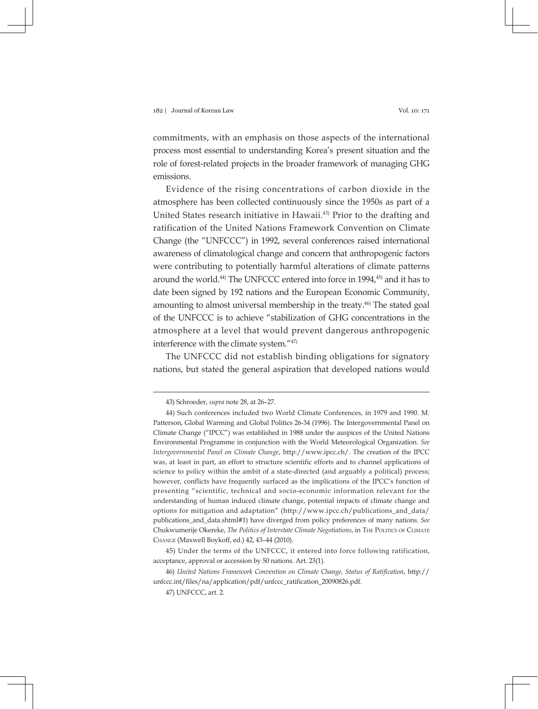commitments, with an emphasis on those aspects of the international process most essential to understanding Korea's present situation and the role of forest-related projects in the broader framework of managing GHG emissions.

Evidence of the rising concentrations of carbon dioxide in the atmosphere has been collected continuously since the 1950s as part of a United States research initiative in Hawaii.43) Prior to the drafting and ratification of the United Nations Framework Convention on Climate Change (the "UNFCCC") in 1992, several conferences raised international awareness of climatological change and concern that anthropogenic factors were contributing to potentially harmful alterations of climate patterns around the world.<sup>44)</sup> The UNFCCC entered into force in 1994,<sup>45)</sup> and it has to date been signed by 192 nations and the European Economic Community, amounting to almost universal membership in the treaty.<sup>46)</sup> The stated goal of the UNFCCC is to achieve "stabilization of GHG concentrations in the atmosphere at a level that would prevent dangerous anthropogenic interference with the climate system."47)

The UNFCCC did not establish binding obligations for signatory nations, but stated the general aspiration that developed nations would

<sup>43)</sup> Schroeder, *supra* note 28, at 26–27.

<sup>44)</sup> Such conferences included two World Climate Conferences, in 1979 and 1990. M. Patterson, Global Warming and Global Politics 26-34 (1996). The Intergovernmental Panel on Climate Change ("IPCC") was established in 1988 under the auspices of the United Nations Environmental Programme in conjunction with the World Meteorological Organization. *See Intergovernmental Panel on Climate Change*, http://www.ipcc.ch/. The creation of the IPCC was, at least in part, an effort to structure scientific efforts and to channel applications of science to policy within the ambit of a state-directed (and arguably a political) process; however, conflicts have frequently surfaced as the implications of the IPCC's function of presenting "scientific, technical and socio-economic information relevant for the understanding of human induced climate change, potential impacts of climate change and options for mitigation and adaptation" (http://www.ipcc.ch/publications\_and\_data/ publications\_and\_data.shtml#1) have diverged from policy preferences of many nations. *See* Chukwumerije Okereke, *The Politics of Interstate Climate Negotiations*, in The Politics of Climate Change (Maxwell Boykoff, ed.) 42, 43–44 (2010).

<sup>45)</sup> Under the terms of the UNFCCC, it entered into force following ratification, acceptance, approval or accession by 50 nations. Art. 23(1).

<sup>46)</sup> *United Nations Framework Convention on Climate Change, Status of Ratification*, http:// unfccc.int/files/na/application/pdf/unfccc\_ratification\_20090826.pdf.

<sup>47)</sup> UNFCCC, art. 2.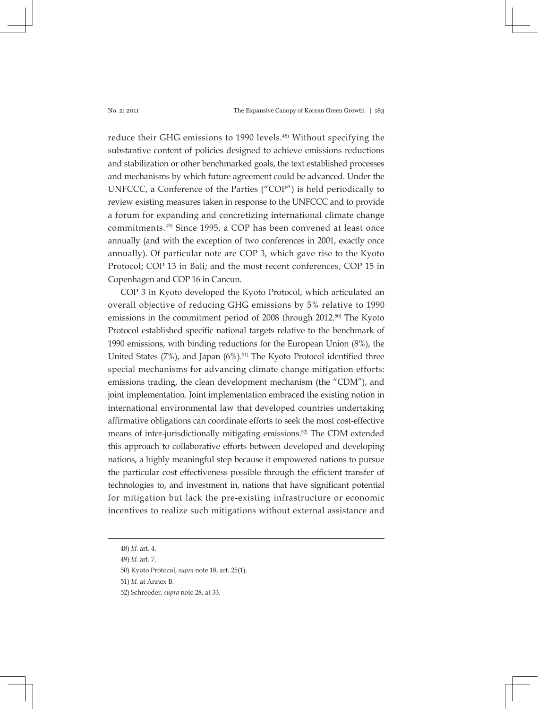reduce their GHG emissions to 1990 levels.<sup>48)</sup> Without specifying the substantive content of policies designed to achieve emissions reductions and stabilization or other benchmarked goals, the text established processes and mechanisms by which future agreement could be advanced. Under the UNFCCC, a Conference of the Parties ("COP") is held periodically to review existing measures taken in response to the UNFCCC and to provide a forum for expanding and concretizing international climate change commitments.49) Since 1995, a COP has been convened at least once annually (and with the exception of two conferences in 2001, exactly once annually). Of particular note are COP 3, which gave rise to the Kyoto Protocol; COP 13 in Bali; and the most recent conferences, COP 15 in Copenhagen and COP 16 in Cancun.

COP 3 in Kyoto developed the Kyoto Protocol, which articulated an overall objective of reducing GHG emissions by 5% relative to 1990 emissions in the commitment period of 2008 through 2012.50) The Kyoto Protocol established specific national targets relative to the benchmark of 1990 emissions, with binding reductions for the European Union (8%), the United States  $(7%)$ , and Japan  $(6%)$ .<sup>51)</sup> The Kyoto Protocol identified three special mechanisms for advancing climate change mitigation efforts: emissions trading, the clean development mechanism (the "CDM"), and joint implementation. Joint implementation embraced the existing notion in international environmental law that developed countries undertaking affirmative obligations can coordinate efforts to seek the most cost-effective means of inter-jurisdictionally mitigating emissions.52) The CDM extended this approach to collaborative efforts between developed and developing nations, a highly meaningful step because it empowered nations to pursue the particular cost effectiveness possible through the efficient transfer of technologies to, and investment in, nations that have significant potential for mitigation but lack the pre-existing infrastructure or economic incentives to realize such mitigations without external assistance and

51) *Id.* at Annex B.

<sup>48)</sup> *Id.* art. 4.

<sup>49)</sup> *Id.* art. 7.

<sup>50)</sup> Kyoto Protocol, *supra* note 18, art. 25(1).

<sup>52)</sup> Schroeder, *supra* note 28, at 33.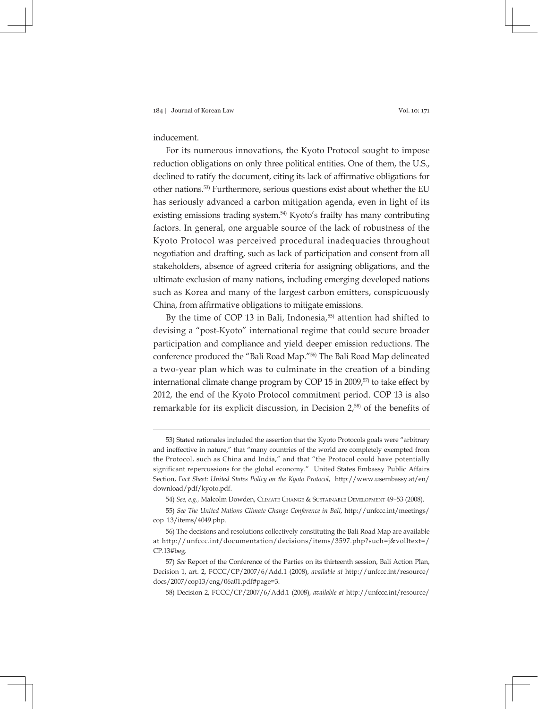# inducement.

For its numerous innovations, the Kyoto Protocol sought to impose reduction obligations on only three political entities. One of them, the U.S., declined to ratify the document, citing its lack of affirmative obligations for other nations.53) Furthermore, serious questions exist about whether the EU has seriously advanced a carbon mitigation agenda, even in light of its existing emissions trading system.<sup>54)</sup> Kyoto's frailty has many contributing factors. In general, one arguable source of the lack of robustness of the Kyoto Protocol was perceived procedural inadequacies throughout negotiation and drafting, such as lack of participation and consent from all stakeholders, absence of agreed criteria for assigning obligations, and the ultimate exclusion of many nations, including emerging developed nations such as Korea and many of the largest carbon emitters, conspicuously China, from affirmative obligations to mitigate emissions.

By the time of COP 13 in Bali, Indonesia,<sup>55)</sup> attention had shifted to devising a "post-Kyoto" international regime that could secure broader participation and compliance and yield deeper emission reductions. The conference produced the "Bali Road Map."56) The Bali Road Map delineated a two-year plan which was to culminate in the creation of a binding international climate change program by COP 15 in 2009, $57$  to take effect by 2012, the end of the Kyoto Protocol commitment period. COP 13 is also remarkable for its explicit discussion, in Decision 2,58) of the benefits of

<sup>53)</sup> Stated rationales included the assertion that the Kyoto Protocols goals were "arbitrary and ineffective in nature," that "many countries of the world are completely exempted from the Protocol, such as China and India," and that "the Protocol could have potentially significant repercussions for the global economy." United States Embassy Public Affairs Section, *Fact Sheet: United States Policy on the Kyoto Protocol*, http://www.usembassy.at/en/ download/pdf/kyoto.pdf.

<sup>54)</sup> *See, e.g.,* Malcolm Dowden, Climate Change & Sustainable Development 49–53 (2008).

<sup>55)</sup> *See The United Nations Climate Change Conference in Bali*, http://unfccc.int/meetings/ cop\_13/items/4049.php.

<sup>56)</sup> The decisions and resolutions collectively constituting the Bali Road Map are available at http://unfccc.int/documentation/decisions/items/3597.php?such=j&volltext=/ CP.13#beg.

<sup>57)</sup> *See* Report of the Conference of the Parties on its thirteenth session, Bali Action Plan, Decision 1, art. 2, FCCC/CP/2007/6/Add.1 (2008), *available at* http://unfccc.int/resource/ docs/2007/cop13/eng/06a01.pdf#page=3.

<sup>58)</sup> Decision 2, FCCC/CP/2007/6/Add.1 (2008), *available at* http://unfccc.int/resource/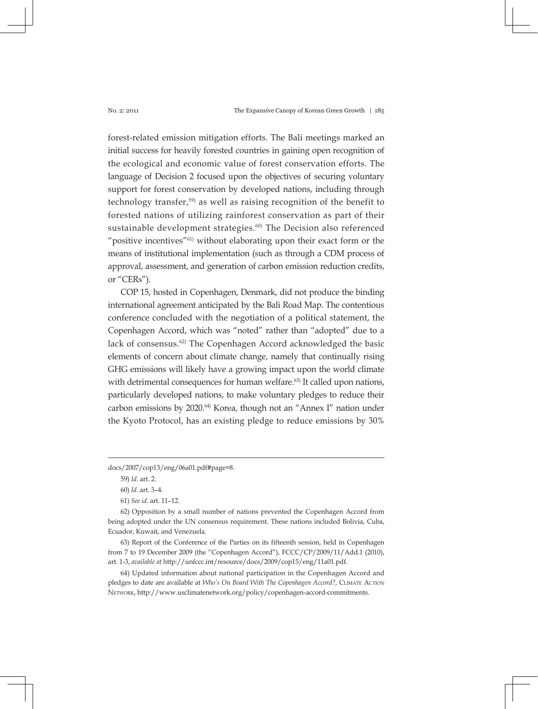forest-related emission mitigation efforts. The Bali meetings marked an initial success for heavily forested countries in gaining open recognition of the ecological and economic value of forest conservation efforts. The language of Decision 2 focused upon the objectives of securing voluntary support for forest conservation by developed nations, including through technology transfer,59) as well as raising recognition of the benefit to forested nations of utilizing rainforest conservation as part of their sustainable development strategies.<sup>60)</sup> The Decision also referenced "positive incentives"<sup>61)</sup> without elaborating upon their exact form or the means of institutional implementation (such as through a CDM process of approval, assessment, and generation of carbon emission reduction credits, or "CERs").

COP 15, hosted in Copenhagen, Denmark, did not produce the binding international agreement anticipated by the Bali Road Map. The contentious conference concluded with the negotiation of a political statement, the Copenhagen Accord, which was "noted" rather than "adopted" due to a lack of consensus.<sup>62)</sup> The Copenhagen Accord acknowledged the basic elements of concern about climate change, namely that continually rising GHG emissions will likely have a growing impact upon the world climate with detrimental consequences for human welfare.<sup>63</sup> It called upon nations, particularly developed nations, to make voluntary pledges to reduce their carbon emissions by 2020.<sup>64)</sup> Korea, though not an "Annex I" nation under the Kyoto Protocol, has an existing pledge to reduce emissions by 30%

64) Updated information about national participation in the Copenhagen Accord and pledges to date are available at *Who's On Board With The Copenhagen Accord?*, Climate Action Network, http://www.usclimatenetwork.org/policy/copenhagen-accord-commitments.

docs/2007/cop13/eng/06a01.pdf#page=8.

<sup>59)</sup> *Id*. art. 2.

<sup>60)</sup> *Id*. art. 3–4.

<sup>61)</sup> *See id.* art. 11–12.

<sup>62)</sup> Opposition by a small number of nations prevented the Copenhagen Accord from being adopted under the UN consensus requirement. These nations included Bolivia, Cuba, Ecuador, Kuwait, and Venezuela.

<sup>63)</sup> Report of the Conference of the Parties on its fifteenth session, held in Copenhagen from 7 to 19 December 2009 (the "Copenhagen Accord"), FCCC/CP/2009/11/Add.1 (2010), art. 1-3, *available at* http://unfccc.int/resource/docs/2009/cop15/eng/11a01.pdf.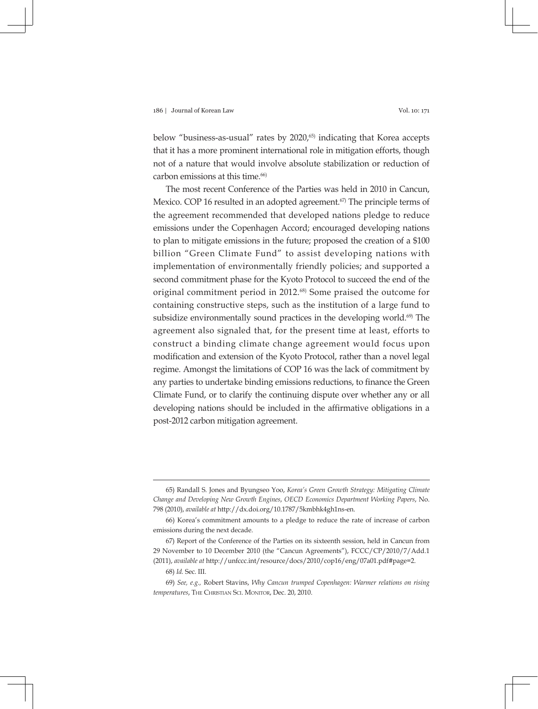below "business-as-usual" rates by 2020,<sup>65)</sup> indicating that Korea accepts that it has a more prominent international role in mitigation efforts, though not of a nature that would involve absolute stabilization or reduction of carbon emissions at this time.<sup>66)</sup>

The most recent Conference of the Parties was held in 2010 in Cancun, Mexico. COP 16 resulted in an adopted agreement.<sup>67</sup> The principle terms of the agreement recommended that developed nations pledge to reduce emissions under the Copenhagen Accord; encouraged developing nations to plan to mitigate emissions in the future; proposed the creation of a \$100 billion "Green Climate Fund" to assist developing nations with implementation of environmentally friendly policies; and supported a second commitment phase for the Kyoto Protocol to succeed the end of the original commitment period in 2012.68) Some praised the outcome for containing constructive steps, such as the institution of a large fund to subsidize environmentally sound practices in the developing world.<sup>69)</sup> The agreement also signaled that, for the present time at least, efforts to construct a binding climate change agreement would focus upon modification and extension of the Kyoto Protocol, rather than a novel legal regime. Amongst the limitations of COP 16 was the lack of commitment by any parties to undertake binding emissions reductions, to finance the Green Climate Fund, or to clarify the continuing dispute over whether any or all developing nations should be included in the affirmative obligations in a post-2012 carbon mitigation agreement.

<sup>65)</sup> Randall S. Jones and Byungseo Yoo, *Korea's Green Growth Strategy: Mitigating Climate Change and Developing New Growth Engines*, *OECD Economics Department Working Papers*, No. 798 (2010), *available at* http://dx.doi.org/10.1787/5kmbhk4gh1ns-en.

<sup>66)</sup> Korea's commitment amounts to a pledge to reduce the rate of increase of carbon emissions during the next decade.

<sup>67)</sup> Report of the Conference of the Parties on its sixteenth session, held in Cancun from 29 November to 10 December 2010 (the "Cancun Agreements"), FCCC/CP/2010/7/Add.1 (2011), *available at* http://unfccc.int/resource/docs/2010/cop16/eng/07a01.pdf#page=2.

<sup>68)</sup> *Id.* Sec. III.

<sup>69)</sup> *See, e.g.,* Robert Stavins, *Why Cancun trumped Copenhagen: Warmer relations on rising temperatures*, The Christian Sci. Monitor, Dec. 20, 2010.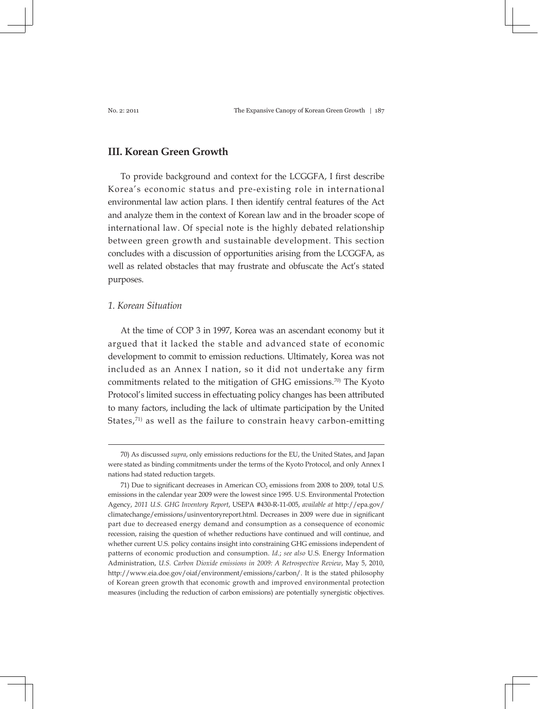# **III. Korean Green Growth**

To provide background and context for the LCGGFA, I first describe Korea's economic status and pre-existing role in international environmental law action plans. I then identify central features of the Act and analyze them in the context of Korean law and in the broader scope of international law. Of special note is the highly debated relationship between green growth and sustainable development. This section concludes with a discussion of opportunities arising from the LCGGFA, as well as related obstacles that may frustrate and obfuscate the Act's stated purposes.

# *1. Korean Situation*

At the time of COP 3 in 1997, Korea was an ascendant economy but it argued that it lacked the stable and advanced state of economic development to commit to emission reductions. Ultimately, Korea was not included as an Annex I nation, so it did not undertake any firm commitments related to the mitigation of GHG emissions.70) The Kyoto Protocol's limited success in effectuating policy changes has been attributed to many factors, including the lack of ultimate participation by the United States, $71$  as well as the failure to constrain heavy carbon-emitting

<sup>70)</sup> As discussed *supra*, only emissions reductions for the EU, the United States, and Japan were stated as binding commitments under the terms of the Kyoto Protocol, and only Annex I nations had stated reduction targets.

<sup>71)</sup> Due to significant decreases in American  $CO<sub>2</sub>$  emissions from 2008 to 2009, total U.S. emissions in the calendar year 2009 were the lowest since 1995. U.S. Environmental Protection Agency, *2011 U.S. GHG Inventory Report*, USEPA #430-R-11-005, *available at* http://epa.gov/ climatechange/emissions/usinventoryreport.html. Decreases in 2009 were due in significant part due to decreased energy demand and consumption as a consequence of economic recession, raising the question of whether reductions have continued and will continue, and whether current U.S. policy contains insight into constraining GHG emissions independent of patterns of economic production and consumption. *Id.*; *see also* U.S. Energy Information Administration, *U.S. Carbon Dioxide emissions in 2009: A Retrospective Review*, May 5, 2010, http://www.eia.doe.gov/oiaf/environment/emissions/carbon/. It is the stated philosophy of Korean green growth that economic growth and improved environmental protection measures (including the reduction of carbon emissions) are potentially synergistic objectives.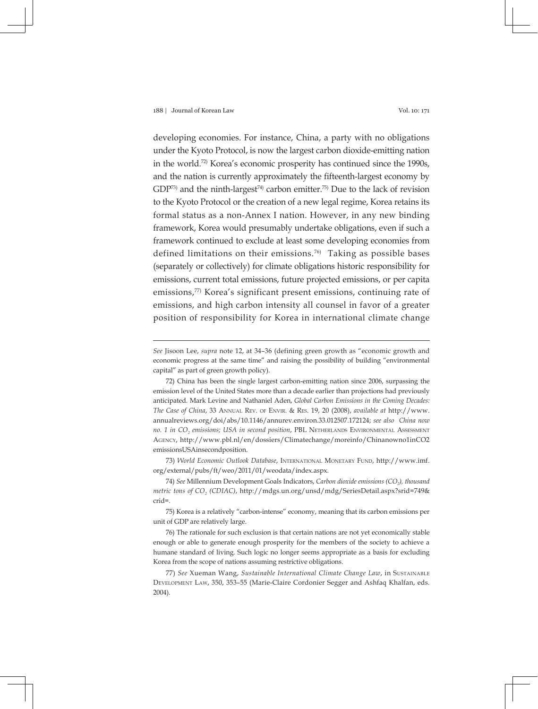developing economies. For instance, China, a party with no obligations under the Kyoto Protocol, is now the largest carbon dioxide-emitting nation in the world.72) Korea's economic prosperity has continued since the 1990s, and the nation is currently approximately the fifteenth-largest economy by GDP<sup>73)</sup> and the ninth-largest<sup>74)</sup> carbon emitter.<sup>75)</sup> Due to the lack of revision to the Kyoto Protocol or the creation of a new legal regime, Korea retains its formal status as a non-Annex I nation. However, in any new binding framework, Korea would presumably undertake obligations, even if such a framework continued to exclude at least some developing economies from defined limitations on their emissions.<sup>76)</sup> Taking as possible bases (separately or collectively) for climate obligations historic responsibility for emissions, current total emissions, future projected emissions, or per capita emissions,<sup>77)</sup> Korea's significant present emissions, continuing rate of emissions, and high carbon intensity all counsel in favor of a greater position of responsibility for Korea in international climate change

73) *World Economic Outlook Database*, International Monetary Fund, http://www.imf. org/external/pubs/ft/weo/2011/01/weodata/index.aspx.

74) See Millennium Development Goals Indicators, *Carbon dioxide emissions* (CO<sub>2</sub>), thousand *metric tons of CO2 (CDIAC)*, http://mdgs.un.org/unsd/mdg/SeriesDetail.aspx?srid=749& crid=.

75) Korea is a relatively "carbon-intense" economy, meaning that its carbon emissions per unit of GDP are relatively large.

76) The rationale for such exclusion is that certain nations are not yet economically stable enough or able to generate enough prosperity for the members of the society to achieve a humane standard of living. Such logic no longer seems appropriate as a basis for excluding Korea from the scope of nations assuming restrictive obligations.

77) See Xueman Wang, Sustainable International Climate Change Law, in SUSTAINABLE Development Law, 350, 353–55 (Marie-Claire Cordonier Segger and Ashfaq Khalfan, eds. 2004).

*See* Jisoon Lee, *supra* note 12, at 34–36 (defining green growth as "economic growth and economic progress at the same time" and raising the possibility of building "environmental capital" as part of green growth policy).

<sup>72)</sup> China has been the single largest carbon-emitting nation since 2006, surpassing the emission level of the United States more than a decade earlier than projections had previously anticipated. Mark Levine and Nathaniel Aden, *Global Carbon Emissions in the Coming Decades: The Case of China*, 33 Annual Rev. of Envir. & Res. 19, 20 (2008), *available at* http://www. annualreviews.org/doi/abs/10.1146/annurev.environ.33.012507.172124; *see also China now no. 1 in CO<sub>2</sub> emissions; USA in second position, PBL NETHERLANDS ENVIRONMENTAL ASSESSMENT* Agency, http://www.pbl.nl/en/dossiers/Climatechange/moreinfo/Chinanowno1inCO2 emissionsUSAinsecondposition.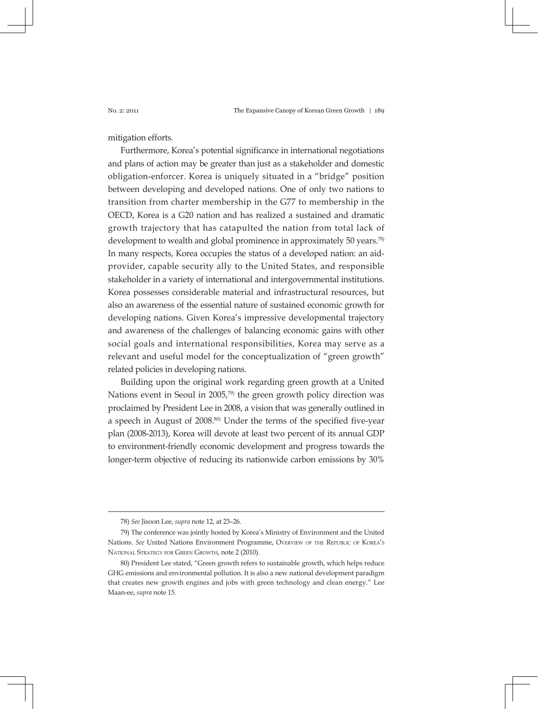mitigation efforts.

Furthermore, Korea's potential significance in international negotiations and plans of action may be greater than just as a stakeholder and domestic obligation-enforcer. Korea is uniquely situated in a "bridge" position between developing and developed nations. One of only two nations to transition from charter membership in the G77 to membership in the OECD, Korea is a G20 nation and has realized a sustained and dramatic growth trajectory that has catapulted the nation from total lack of development to wealth and global prominence in approximately 50 years.<sup>78)</sup> In many respects, Korea occupies the status of a developed nation: an aidprovider, capable security ally to the United States, and responsible stakeholder in a variety of international and intergovernmental institutions. Korea possesses considerable material and infrastructural resources, but also an awareness of the essential nature of sustained economic growth for developing nations. Given Korea's impressive developmental trajectory and awareness of the challenges of balancing economic gains with other social goals and international responsibilities, Korea may serve as a relevant and useful model for the conceptualization of "green growth" related policies in developing nations.

Building upon the original work regarding green growth at a United Nations event in Seoul in 2005,<sup>79)</sup> the green growth policy direction was proclaimed by President Lee in 2008, a vision that was generally outlined in a speech in August of 2008.80) Under the terms of the specified five-year plan (2008-2013), Korea will devote at least two percent of its annual GDP to environment-friendly economic development and progress towards the longer-term objective of reducing its nationwide carbon emissions by 30%

<sup>78)</sup> *See* Jisoon Lee, *supra* note 12, at 23–26.

<sup>79)</sup> The conference was jointly hosted by Korea's Ministry of Environment and the United Nations. *See* United Nations Environment Programme, Overview of the Republic of Korea's National Strategy for Green Growth, note 2 (2010).

<sup>80)</sup> President Lee stated, "Green growth refers to sustainable growth, which helps reduce GHG emissions and environmental pollution. It is also a new national development paradigm that creates new growth engines and jobs with green technology and clean energy." Lee Maan-ee, *supra* note 15.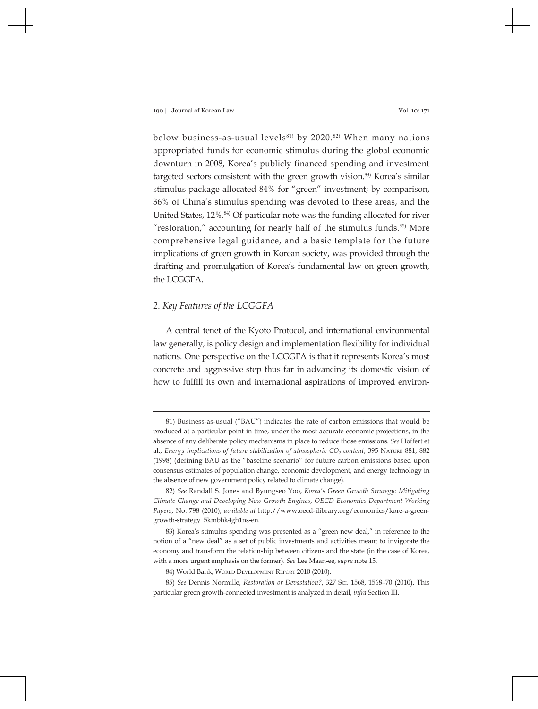below business-as-usual levels<sup>81)</sup> by 2020.<sup>82)</sup> When many nations appropriated funds for economic stimulus during the global economic downturn in 2008, Korea's publicly financed spending and investment targeted sectors consistent with the green growth vision.83) Korea's similar stimulus package allocated 84% for "green" investment; by comparison, 36% of China's stimulus spending was devoted to these areas, and the United States, 12%.<sup>84)</sup> Of particular note was the funding allocated for river "restoration," accounting for nearly half of the stimulus funds. $85$ ) More comprehensive legal guidance, and a basic template for the future implications of green growth in Korean society, was provided through the drafting and promulgation of Korea's fundamental law on green growth, the LCGGFA.

# *2. Key Features of the LCGGFA*

A central tenet of the Kyoto Protocol, and international environmental law generally, is policy design and implementation flexibility for individual nations. One perspective on the LCGGFA is that it represents Korea's most concrete and aggressive step thus far in advancing its domestic vision of how to fulfill its own and international aspirations of improved environ-

<sup>81)</sup> Business-as-usual ("BAU") indicates the rate of carbon emissions that would be produced at a particular point in time, under the most accurate economic projections, in the absence of any deliberate policy mechanisms in place to reduce those emissions. *See* Hoffert et al., *Energy implications of future stabilization of atmospheric CO<sub>2</sub> content, 395 NATURE 881, 882* (1998) (defining BAU as the "baseline scenario" for future carbon emissions based upon consensus estimates of population change, economic development, and energy technology in the absence of new government policy related to climate change).

<sup>82)</sup> *See* Randall S. Jones and Byungseo Yoo, *Korea's Green Growth Strategy: Mitigating Climate Change and Developing New Growth Engines*, *OECD Economics Department Working Papers*, No. 798 (2010), *available at* http://www.oecd-ilibrary.org/economics/kore-a-greengrowth-strategy\_5kmbhk4gh1ns-en.

<sup>83)</sup> Korea's stimulus spending was presented as a "green new deal," in reference to the notion of a "new deal" as a set of public investments and activities meant to invigorate the economy and transform the relationship between citizens and the state (in the case of Korea, with a more urgent emphasis on the former). *See* Lee Maan-ee, *supra* note 15.

<sup>84)</sup> World Bank, World Development Report 2010 (2010).

<sup>85)</sup> *See* Dennis Normille, *Restoration or Devastation?*, 327 Sci. 1568, 1568–70 (2010). This particular green growth-connected investment is analyzed in detail, *infra* Section III.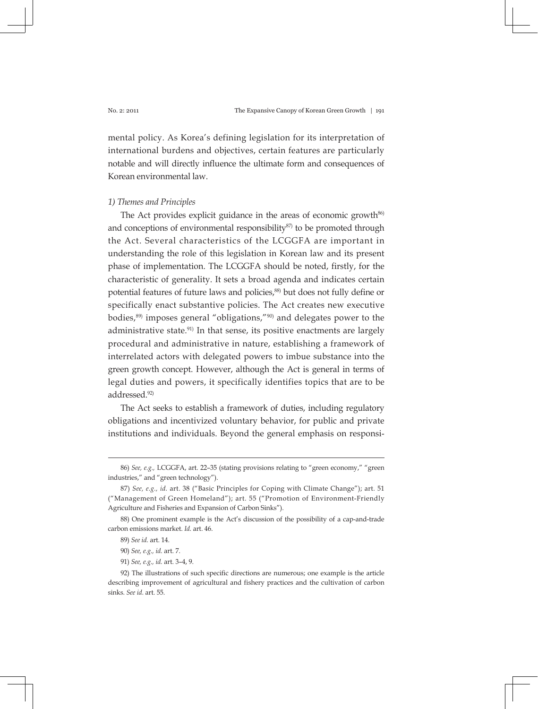mental policy. As Korea's defining legislation for its interpretation of international burdens and objectives, certain features are particularly notable and will directly influence the ultimate form and consequences of Korean environmental law.

### *1) Themes and Principles*

The Act provides explicit guidance in the areas of economic growth $86$ ) and conceptions of environmental responsibility<sup>87)</sup> to be promoted through the Act. Several characteristics of the LCGGFA are important in understanding the role of this legislation in Korean law and its present phase of implementation. The LCGGFA should be noted, firstly, for the characteristic of generality. It sets a broad agenda and indicates certain potential features of future laws and policies,<sup>88)</sup> but does not fully define or specifically enact substantive policies. The Act creates new executive bodies,89) imposes general "obligations,"90) and delegates power to the administrative state.<sup>91)</sup> In that sense, its positive enactments are largely procedural and administrative in nature, establishing a framework of interrelated actors with delegated powers to imbue substance into the green growth concept. However, although the Act is general in terms of legal duties and powers, it specifically identifies topics that are to be addressed.92)

The Act seeks to establish a framework of duties, including regulatory obligations and incentivized voluntary behavior, for public and private institutions and individuals. Beyond the general emphasis on responsi-

<sup>86)</sup> *See, e.g.,* LCGGFA, art. 22–35 (stating provisions relating to "green economy," "green industries," and "green technology").

<sup>87)</sup> *See, e.g., id.* art. 38 ("Basic Principles for Coping with Climate Change"); art. 51 ("Management of Green Homeland"); art. 55 ("Promotion of Environment-Friendly Agriculture and Fisheries and Expansion of Carbon Sinks").

<sup>88)</sup> One prominent example is the Act's discussion of the possibility of a cap-and-trade carbon emissions market. *Id.* art. 46.

<sup>89)</sup> *See id.* art. 14.

<sup>90)</sup> *See, e.g., id.* art. 7.

<sup>91)</sup> *See, e.g., id.* art. 3–4, 9.

<sup>92)</sup> The illustrations of such specific directions are numerous; one example is the article describing improvement of agricultural and fishery practices and the cultivation of carbon sinks. *See id.* art. 55.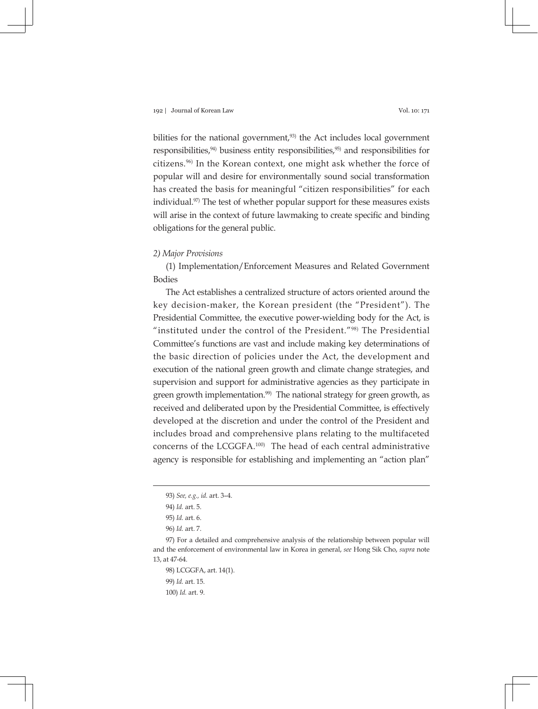bilities for the national government,<sup>93)</sup> the Act includes local government responsibilities, $94$ ) business entity responsibilities, $95$ ) and responsibilities for citizens.96) In the Korean context, one might ask whether the force of popular will and desire for environmentally sound social transformation has created the basis for meaningful "citizen responsibilities" for each individual.<sup>97)</sup> The test of whether popular support for these measures exists will arise in the context of future lawmaking to create specific and binding obligations for the general public.

### *2) Major Provisions*

(1) Implementation/Enforcement Measures and Related Government Bodies

The Act establishes a centralized structure of actors oriented around the key decision-maker, the Korean president (the "President"). The Presidential Committee, the executive power-wielding body for the Act, is "instituted under the control of the President."98) The Presidential Committee's functions are vast and include making key determinations of the basic direction of policies under the Act, the development and execution of the national green growth and climate change strategies, and supervision and support for administrative agencies as they participate in green growth implementation.<sup>99)</sup> The national strategy for green growth, as received and deliberated upon by the Presidential Committee, is effectively developed at the discretion and under the control of the President and includes broad and comprehensive plans relating to the multifaceted concerns of the LCGGFA.100) The head of each central administrative agency is responsible for establishing and implementing an "action plan"

<sup>93)</sup> *See, e.g., id.* art. 3–4.

<sup>94)</sup> *Id.* art. 5.

<sup>95)</sup> *Id.* art. 6.

<sup>96)</sup> *Id.* art. 7.

<sup>97)</sup> For a detailed and comprehensive analysis of the relationship between popular will and the enforcement of environmental law in Korea in general, *see* Hong Sik Cho, *supra* note 13, at 47-64.

<sup>98)</sup> LCGGFA, art. 14(1).

<sup>99)</sup> *Id.* art. 15.

<sup>100)</sup> *Id.* art. 9.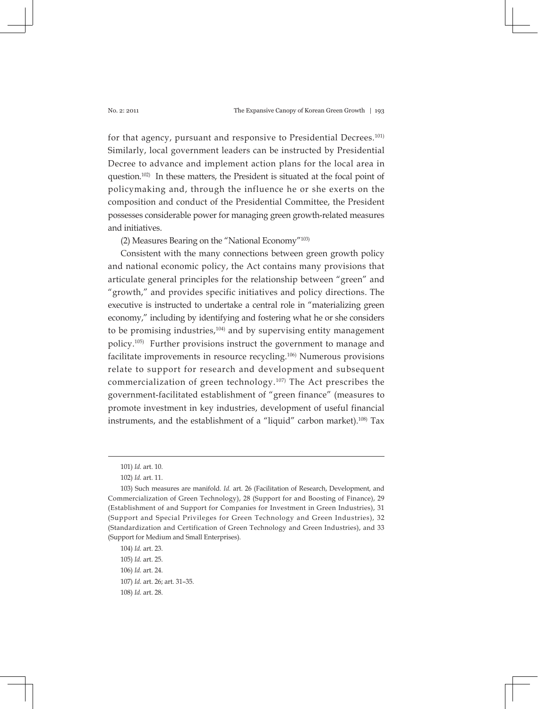for that agency, pursuant and responsive to Presidential Decrees.<sup>101)</sup> Similarly, local government leaders can be instructed by Presidential Decree to advance and implement action plans for the local area in question.<sup>102)</sup> In these matters, the President is situated at the focal point of policymaking and, through the influence he or she exerts on the composition and conduct of the Presidential Committee, the President possesses considerable power for managing green growth-related measures and initiatives.

(2) Measures Bearing on the "National Economy"103)

Consistent with the many connections between green growth policy and national economic policy, the Act contains many provisions that articulate general principles for the relationship between "green" and "growth," and provides specific initiatives and policy directions. The executive is instructed to undertake a central role in "materializing green economy," including by identifying and fostering what he or she considers to be promising industries, $104$  and by supervising entity management policy.105) Further provisions instruct the government to manage and facilitate improvements in resource recycling.106) Numerous provisions relate to support for research and development and subsequent commercialization of green technology.<sup>107)</sup> The Act prescribes the government-facilitated establishment of "green finance" (measures to promote investment in key industries, development of useful financial instruments, and the establishment of a "liquid" carbon market).108) Tax

<sup>101)</sup> *Id.* art. 10.

<sup>102)</sup> *Id.* art. 11.

<sup>103)</sup> Such measures are manifold. *Id.* art. 26 (Facilitation of Research, Development, and Commercialization of Green Technology), 28 (Support for and Boosting of Finance), 29 (Establishment of and Support for Companies for Investment in Green Industries), 31 (Support and Special Privileges for Green Technology and Green Industries), 32 (Standardization and Certification of Green Technology and Green Industries), and 33 (Support for Medium and Small Enterprises).

<sup>104)</sup> *Id.* art. 23.

<sup>105)</sup> *Id.* art. 25.

<sup>106)</sup> *Id.* art. 24.

<sup>107)</sup> *Id.* art. 26; art. 31–35.

<sup>108)</sup> *Id.* art. 28.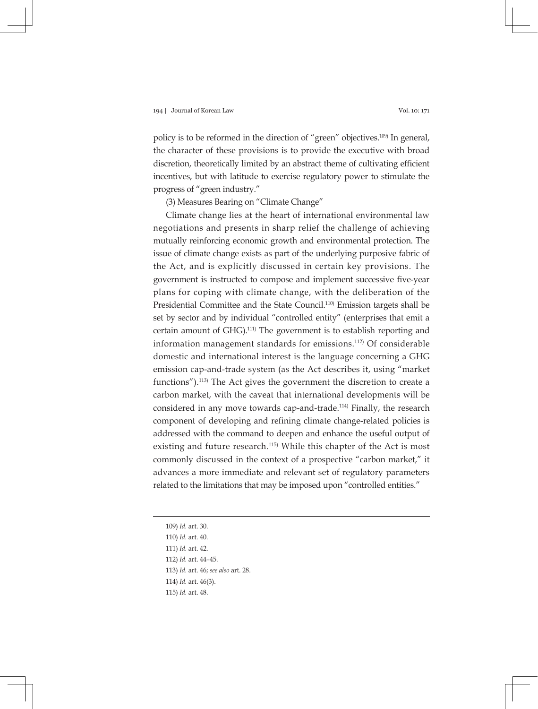policy is to be reformed in the direction of "green" objectives.<sup>109)</sup> In general, the character of these provisions is to provide the executive with broad discretion, theoretically limited by an abstract theme of cultivating efficient incentives, but with latitude to exercise regulatory power to stimulate the progress of "green industry."

(3) Measures Bearing on "Climate Change"

Climate change lies at the heart of international environmental law negotiations and presents in sharp relief the challenge of achieving mutually reinforcing economic growth and environmental protection. The issue of climate change exists as part of the underlying purposive fabric of the Act, and is explicitly discussed in certain key provisions. The government is instructed to compose and implement successive five-year plans for coping with climate change, with the deliberation of the Presidential Committee and the State Council.110) Emission targets shall be set by sector and by individual "controlled entity" (enterprises that emit a certain amount of GHG).111) The government is to establish reporting and information management standards for emissions.112) Of considerable domestic and international interest is the language concerning a GHG emission cap-and-trade system (as the Act describes it, using "market functions").113) The Act gives the government the discretion to create a carbon market, with the caveat that international developments will be considered in any move towards cap-and-trade.114) Finally, the research component of developing and refining climate change-related policies is addressed with the command to deepen and enhance the useful output of existing and future research.<sup>115)</sup> While this chapter of the Act is most commonly discussed in the context of a prospective "carbon market," it advances a more immediate and relevant set of regulatory parameters related to the limitations that may be imposed upon "controlled entities."

109) *Id.* art. 30.

- 114) *Id.* art. 46(3).
- 115) *Id.* art. 48.

<sup>110)</sup> *Id.* art. 40.

<sup>111)</sup> *Id.* art. 42.

<sup>112)</sup> *Id.* art. 44–45.

<sup>113)</sup> *Id.* art. 46; *see also* art. 28.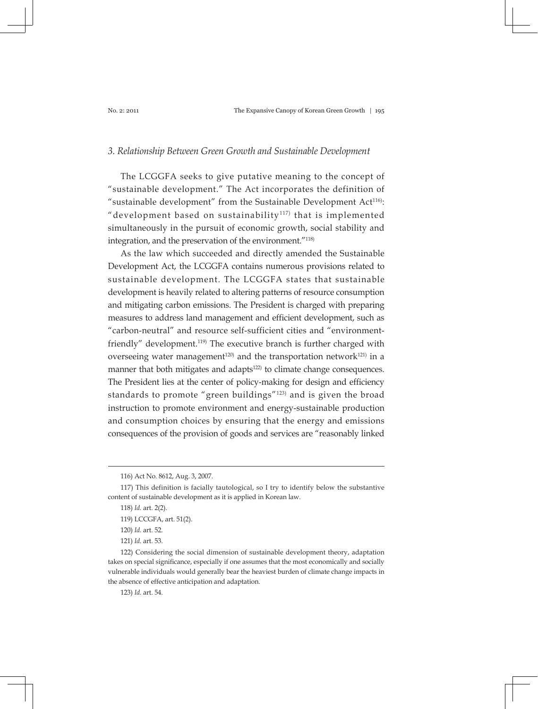### *3. Relationship Between Green Growth and Sustainable Development*

The LCGGFA seeks to give putative meaning to the concept of "sustainable development." The Act incorporates the definition of "sustainable development" from the Sustainable Development  $Act^{116}$ : "development based on sustainability<sup>117)</sup> that is implemented simultaneously in the pursuit of economic growth, social stability and integration, and the preservation of the environment."118)

As the law which succeeded and directly amended the Sustainable Development Act, the LCGGFA contains numerous provisions related to sustainable development. The LCGGFA states that sustainable development is heavily related to altering patterns of resource consumption and mitigating carbon emissions. The President is charged with preparing measures to address land management and efficient development, such as "carbon-neutral" and resource self-sufficient cities and "environmentfriendly" development.<sup>119)</sup> The executive branch is further charged with overseeing water management<sup>120)</sup> and the transportation network<sup>121)</sup> in a manner that both mitigates and adapts<sup>122)</sup> to climate change consequences. The President lies at the center of policy-making for design and efficiency standards to promote "green buildings"<sup>123)</sup> and is given the broad instruction to promote environment and energy-sustainable production and consumption choices by ensuring that the energy and emissions consequences of the provision of goods and services are "reasonably linked

123) *Id.* art. 54.

<sup>116)</sup> Act No. 8612, Aug. 3, 2007.

<sup>117)</sup> This definition is facially tautological, so I try to identify below the substantive content of sustainable development as it is applied in Korean law.

<sup>118)</sup> *Id.* art. 2(2).

<sup>119)</sup> LCCGFA, art. 51(2).

<sup>120)</sup> *Id.* art. 52.

<sup>121)</sup> *Id.* art. 53.

<sup>122)</sup> Considering the social dimension of sustainable development theory, adaptation takes on special significance, especially if one assumes that the most economically and socially vulnerable individuals would generally bear the heaviest burden of climate change impacts in the absence of effective anticipation and adaptation.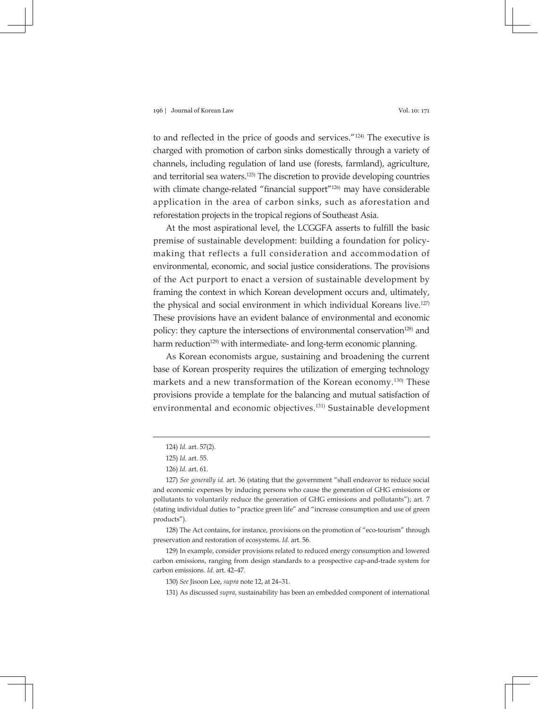to and reflected in the price of goods and services."124) The executive is charged with promotion of carbon sinks domestically through a variety of channels, including regulation of land use (forests, farmland), agriculture, and territorial sea waters.125) The discretion to provide developing countries with climate change-related "financial support"<sup>126)</sup> may have considerable application in the area of carbon sinks, such as aforestation and reforestation projects in the tropical regions of Southeast Asia.

At the most aspirational level, the LCGGFA asserts to fulfill the basic premise of sustainable development: building a foundation for policymaking that reflects a full consideration and accommodation of environmental, economic, and social justice considerations. The provisions of the Act purport to enact a version of sustainable development by framing the context in which Korean development occurs and, ultimately, the physical and social environment in which individual Koreans live.127) These provisions have an evident balance of environmental and economic policy: they capture the intersections of environmental conservation<sup>128)</sup> and harm reduction<sup>129</sup> with intermediate- and long-term economic planning.

As Korean economists argue, sustaining and broadening the current base of Korean prosperity requires the utilization of emerging technology markets and a new transformation of the Korean economy.130) These provisions provide a template for the balancing and mutual satisfaction of environmental and economic objectives.131) Sustainable development

<sup>124)</sup> *Id.* art. 57(2).

<sup>125)</sup> *Id.* art. 55.

<sup>126)</sup> *Id.* art. 61.

<sup>127)</sup> *See generally id.* art. 36 (stating that the government "shall endeavor to reduce social and economic expenses by inducing persons who cause the generation of GHG emissions or pollutants to voluntarily reduce the generation of GHG emissions and pollutants"); art. 7 (stating individual duties to "practice green life" and "increase consumption and use of green products").

<sup>128)</sup> The Act contains, for instance, provisions on the promotion of "eco-tourism" through preservation and restoration of ecosystems. *Id.* art. 56.

<sup>129)</sup> In example, consider provisions related to reduced energy consumption and lowered carbon emissions, ranging from design standards to a prospective cap-and-trade system for carbon emissions. *Id.* art. 42–47.

<sup>130)</sup> *See* Jisoon Lee, *supra* note 12, at 24–31.

<sup>131)</sup> As discussed *supra*, sustainability has been an embedded component of international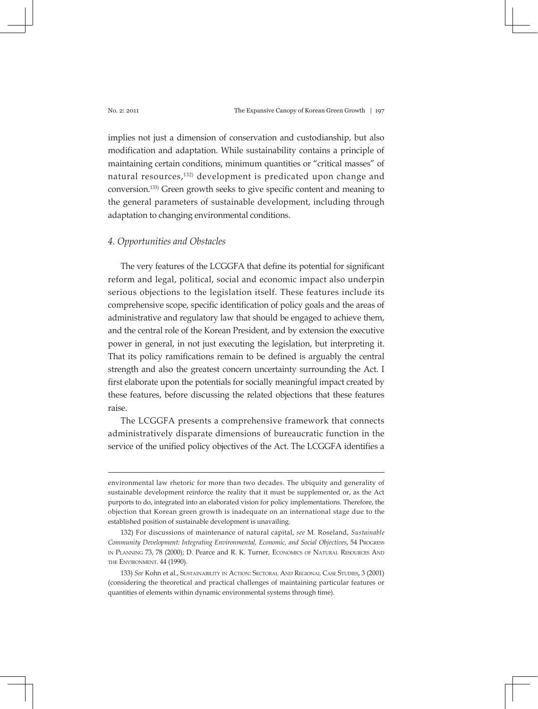implies not just a dimension of conservation and custodianship, but also modification and adaptation. While sustainability contains a principle of maintaining certain conditions, minimum quantities or "critical masses" of natural resources,<sup>132)</sup> development is predicated upon change and conversion.133) Green growth seeks to give specific content and meaning to the general parameters of sustainable development, including through adaptation to changing environmental conditions.

# *4. Opportunities and Obstacles*

The very features of the LCGGFA that define its potential for significant reform and legal, political, social and economic impact also underpin serious objections to the legislation itself. These features include its comprehensive scope, specific identification of policy goals and the areas of administrative and regulatory law that should be engaged to achieve them, and the central role of the Korean President, and by extension the executive power in general, in not just executing the legislation, but interpreting it. That its policy ramifications remain to be defined is arguably the central strength and also the greatest concern uncertainty surrounding the Act. I first elaborate upon the potentials for socially meaningful impact created by these features, before discussing the related objections that these features raise.

The LCGGFA presents a comprehensive framework that connects administratively disparate dimensions of bureaucratic function in the service of the unified policy objectives of the Act. The LCGGFA identifies a

environmental law rhetoric for more than two decades. The ubiquity and generality of sustainable development reinforce the reality that it must be supplemented or, as the Act purports to do, integrated into an elaborated vision for policy implementations. Therefore, the objection that Korean green growth is inadequate on an international stage due to the established position of sustainable development is unavailing.

<sup>132)</sup> For discussions of maintenance of natural capital, *see* M. Roseland, *Sustainable Community Development: Integrating Environmental, Economic, and Social Objectives*, 54 Progress in Planning 73, 78 (2000); D. Pearce and R. K. Turner, Economics of Natural Resources And the Environment. 44 (1990).

<sup>133)</sup> *See* Kohn et al., Sustainability in Action: Sectoral And Regional Case Studies, 3 (2001) (considering the theoretical and practical challenges of maintaining particular features or quantities of elements within dynamic environmental systems through time).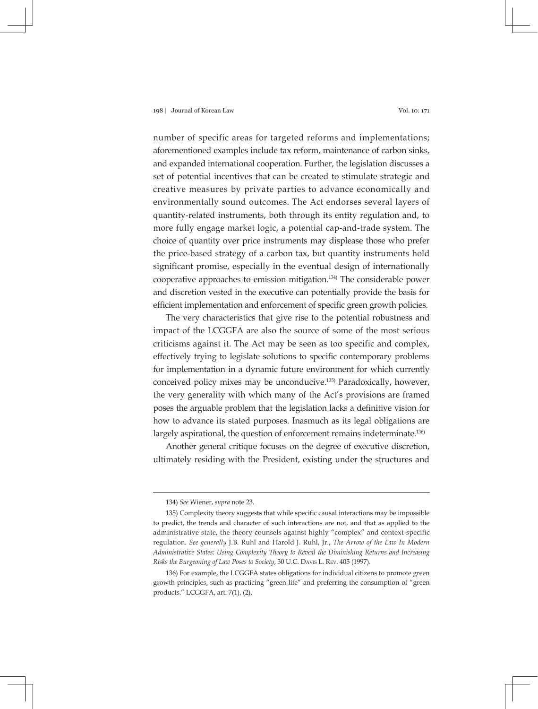number of specific areas for targeted reforms and implementations; aforementioned examples include tax reform, maintenance of carbon sinks, and expanded international cooperation. Further, the legislation discusses a set of potential incentives that can be created to stimulate strategic and creative measures by private parties to advance economically and environmentally sound outcomes. The Act endorses several layers of quantity-related instruments, both through its entity regulation and, to more fully engage market logic, a potential cap-and-trade system. The choice of quantity over price instruments may displease those who prefer the price-based strategy of a carbon tax, but quantity instruments hold significant promise, especially in the eventual design of internationally cooperative approaches to emission mitigation.134) The considerable power and discretion vested in the executive can potentially provide the basis for efficient implementation and enforcement of specific green growth policies.

The very characteristics that give rise to the potential robustness and impact of the LCGGFA are also the source of some of the most serious criticisms against it. The Act may be seen as too specific and complex, effectively trying to legislate solutions to specific contemporary problems for implementation in a dynamic future environment for which currently conceived policy mixes may be unconducive.135) Paradoxically, however, the very generality with which many of the Act's provisions are framed poses the arguable problem that the legislation lacks a definitive vision for how to advance its stated purposes. Inasmuch as its legal obligations are largely aspirational, the question of enforcement remains indeterminate.<sup>136)</sup>

Another general critique focuses on the degree of executive discretion, ultimately residing with the President, existing under the structures and

<sup>134)</sup> *See* Wiener, *supra* note 23.

<sup>135)</sup> Complexity theory suggests that while specific causal interactions may be impossible to predict, the trends and character of such interactions are not, and that as applied to the administrative state, the theory counsels against highly "complex" and context-specific regulation. *See generally* J.B. Ruhl and Harold J. Ruhl, Jr., *The Arrow of the Law In Modern Administrative States: Using Complexity Theory to Reveal the Diminishing Returns and Increasing Risks the Burgeoning of Law Poses to Society*, 30 U.C. Davis L. Rev. 405 (1997).

<sup>136)</sup> For example, the LCGGFA states obligations for individual citizens to promote green growth principles, such as practicing "green life" and preferring the consumption of "green products." LCGGFA, art. 7(1), (2).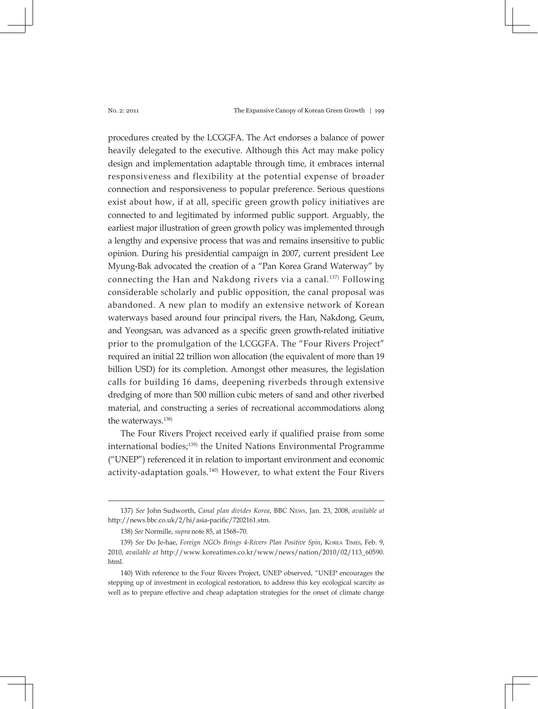procedures created by the LCGGFA. The Act endorses a balance of power heavily delegated to the executive. Although this Act may make policy design and implementation adaptable through time, it embraces internal responsiveness and flexibility at the potential expense of broader connection and responsiveness to popular preference. Serious questions exist about how, if at all, specific green growth policy initiatives are connected to and legitimated by informed public support. Arguably, the earliest major illustration of green growth policy was implemented through a lengthy and expensive process that was and remains insensitive to public opinion. During his presidential campaign in 2007, current president Lee Myung-Bak advocated the creation of a "Pan Korea Grand Waterway" by connecting the Han and Nakdong rivers via a canal.<sup>137)</sup> Following considerable scholarly and public opposition, the canal proposal was abandoned. A new plan to modify an extensive network of Korean waterways based around four principal rivers, the Han, Nakdong, Geum, and Yeongsan, was advanced as a specific green growth-related initiative prior to the promulgation of the LCGGFA. The "Four Rivers Project" required an initial 22 trillion won allocation (the equivalent of more than 19 billion USD) for its completion. Amongst other measures, the legislation calls for building 16 dams, deepening riverbeds through extensive dredging of more than 500 million cubic meters of sand and other riverbed material, and constructing a series of recreational accommodations along the waterways.<sup>138)</sup>

The Four Rivers Project received early if qualified praise from some international bodies;139) the United Nations Environmental Programme ("UNEP") referenced it in relation to important environment and economic activity-adaptation goals. $140$  However, to what extent the Four Rivers

<sup>137)</sup> *See* John Sudworth, *Canal plan divides Korea*, BBC News, Jan. 23, 2008, *available at* http://news.bbc.co.uk/2/hi/asia-pacific/7202161.stm.

<sup>138)</sup> *See* Normille, *supra* note 85, at 1568–70.

<sup>139)</sup> *See* Do Je-hae, *Foreign NGOs Brings 4-Rivers Plan Positive Spin*, Korea Times, Feb. 9, 2010, *available at* http://www.koreatimes.co.kr/www/news/nation/2010/02/113\_60590. html.

<sup>140)</sup> With reference to the Four Rivers Project, UNEP observed, "UNEP encourages the stepping up of investment in ecological restoration, to address this key ecological scarcity as well as to prepare effective and cheap adaptation strategies for the onset of climate change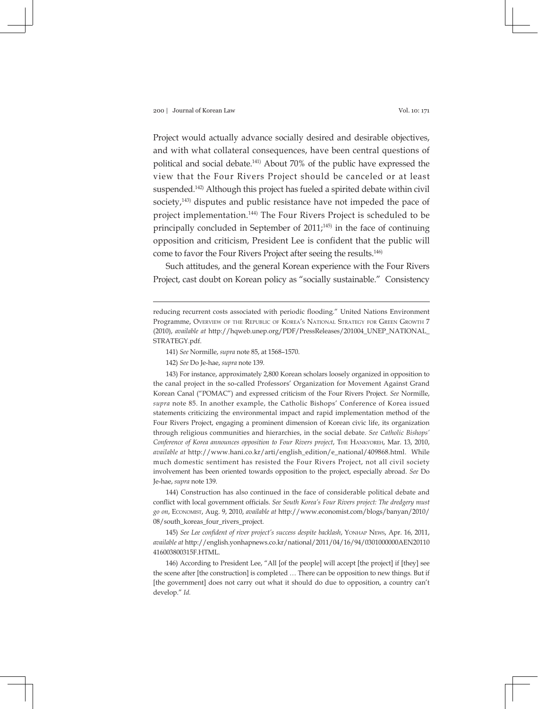Project would actually advance socially desired and desirable objectives, and with what collateral consequences, have been central questions of political and social debate.141) About 70% of the public have expressed the view that the Four Rivers Project should be canceled or at least suspended.142) Although this project has fueled a spirited debate within civil society, $143)$  disputes and public resistance have not impeded the pace of project implementation.144) The Four Rivers Project is scheduled to be principally concluded in September of  $2011<sub>7</sub><sup>145)</sup>$  in the face of continuing opposition and criticism, President Lee is confident that the public will come to favor the Four Rivers Project after seeing the results.146)

Such attitudes, and the general Korean experience with the Four Rivers Project, cast doubt on Korean policy as "socially sustainable." Consistency

141) *See* Normille, *supra* note 85, at 1568–1570.

142) *See* Do Je-hae, *supra* note 139.

143) For instance, approximately 2,800 Korean scholars loosely organized in opposition to the canal project in the so-called Professors' Organization for Movement Against Grand Korean Canal ("POMAC") and expressed criticism of the Four Rivers Project. *See* Normille, *supra* note 85. In another example, the Catholic Bishops' Conference of Korea issued statements criticizing the environmental impact and rapid implementation method of the Four Rivers Project, engaging a prominent dimension of Korean civic life, its organization through religious communities and hierarchies, in the social debate. *See Catholic Bishops' Conference of Korea announces opposition to Four Rivers project*, The Hankyoreh, Mar. 13, 2010, *available at* http://www.hani.co.kr/arti/english\_edition/e\_national/409868.html. While much domestic sentiment has resisted the Four Rivers Project, not all civil society involvement has been oriented towards opposition to the project, especially abroad. *See* Do Je-hae, *supra* note 139.

144) Construction has also continued in the face of considerable political debate and conflict with local government officials. *See South Korea's Four Rivers project: The dredgery must go on*, Economist, Aug. 9, 2010, *available at* http://www.economist.com/blogs/banyan/2010/ 08/south\_koreas\_four\_rivers\_project.

145) *See Lee confident of river project's success despite backlash*, Yonhap News, Apr. 16, 2011, *available at* http://english.yonhapnews.co.kr/national/2011/04/16/94/0301000000AEN20110 416003800315F.HTML.

146) According to President Lee, "All [of the people] will accept [the project] if [they] see the scene after [the construction] is completed … There can be opposition to new things. But if [the government] does not carry out what it should do due to opposition, a country can't develop." *Id.*

reducing recurrent costs associated with periodic flooding." United Nations Environment Programme, Overview of the Republic of Korea's National Strategy for Green Growth 7 (2010), *available at* http://hqweb.unep.org/PDF/PressReleases/201004\_UNEP\_NATIONAL\_ STRATEGY.pdf.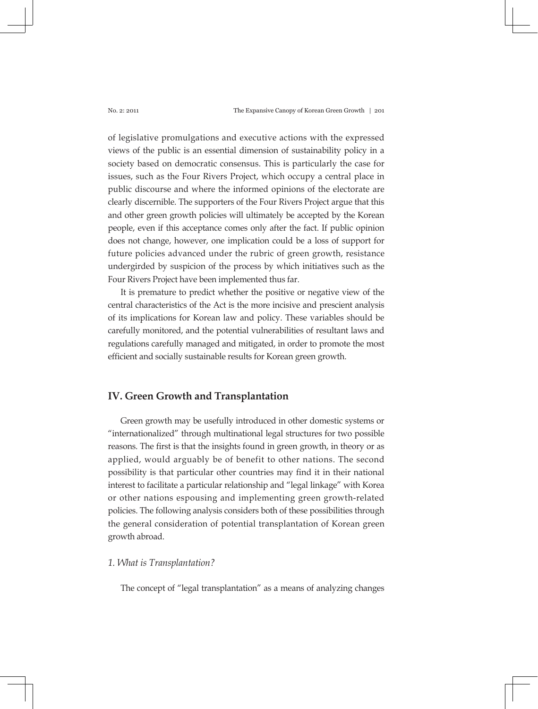of legislative promulgations and executive actions with the expressed views of the public is an essential dimension of sustainability policy in a society based on democratic consensus. This is particularly the case for issues, such as the Four Rivers Project, which occupy a central place in public discourse and where the informed opinions of the electorate are clearly discernible. The supporters of the Four Rivers Project argue that this and other green growth policies will ultimately be accepted by the Korean people, even if this acceptance comes only after the fact. If public opinion does not change, however, one implication could be a loss of support for future policies advanced under the rubric of green growth, resistance undergirded by suspicion of the process by which initiatives such as the Four Rivers Project have been implemented thus far.

It is premature to predict whether the positive or negative view of the central characteristics of the Act is the more incisive and prescient analysis of its implications for Korean law and policy. These variables should be carefully monitored, and the potential vulnerabilities of resultant laws and regulations carefully managed and mitigated, in order to promote the most efficient and socially sustainable results for Korean green growth.

# **IV. Green Growth and Transplantation**

Green growth may be usefully introduced in other domestic systems or "internationalized" through multinational legal structures for two possible reasons. The first is that the insights found in green growth, in theory or as applied, would arguably be of benefit to other nations. The second possibility is that particular other countries may find it in their national interest to facilitate a particular relationship and "legal linkage" with Korea or other nations espousing and implementing green growth-related policies. The following analysis considers both of these possibilities through the general consideration of potential transplantation of Korean green growth abroad.

# *1. What is Transplantation?*

The concept of "legal transplantation" as a means of analyzing changes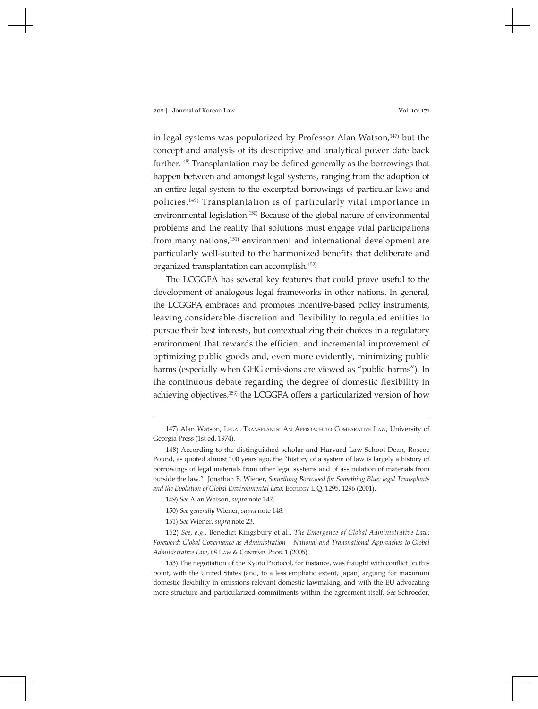in legal systems was popularized by Professor Alan Watson, $147$ ) but the concept and analysis of its descriptive and analytical power date back further.148) Transplantation may be defined generally as the borrowings that happen between and amongst legal systems, ranging from the adoption of an entire legal system to the excerpted borrowings of particular laws and policies.149) Transplantation is of particularly vital importance in environmental legislation.<sup>150)</sup> Because of the global nature of environmental problems and the reality that solutions must engage vital participations from many nations,<sup>151)</sup> environment and international development are particularly well-suited to the harmonized benefits that deliberate and organized transplantation can accomplish.152)

The LCGGFA has several key features that could prove useful to the development of analogous legal frameworks in other nations. In general, the LCGGFA embraces and promotes incentive-based policy instruments, leaving considerable discretion and flexibility to regulated entities to pursue their best interests, but contextualizing their choices in a regulatory environment that rewards the efficient and incremental improvement of optimizing public goods and, even more evidently, minimizing public harms (especially when GHG emissions are viewed as "public harms"). In the continuous debate regarding the degree of domestic flexibility in achieving objectives,<sup>153)</sup> the LCGGFA offers a particularized version of how

<sup>147)</sup> Alan Watson, Legal Transplants: An Approach to Comparative Law, University of Georgia Press (1st ed. 1974).

<sup>148)</sup> According to the distinguished scholar and Harvard Law School Dean, Roscoe Pound, as quoted almost 100 years ago, the "history of a system of law is largely a history of borrowings of legal materials from other legal systems and of assimilation of materials from outside the law." Jonathan B. Wiener, *Something Borrowed for Something Blue: legal Transplants and the Evolution of Global Environmental Law*, Ecology L.Q. 1295, 1296 (2001).

<sup>149)</sup> *See* Alan Watson, *supra* note 147.

<sup>150)</sup> *See generally* Wiener, *supra* note 148.

<sup>151)</sup> *See* Wiener, *supra* note 23.

<sup>152)</sup> *See, e.g.,* Benedict Kingsbury et al., *The Emergence of Global Administrative Law: Foreword: Global Governance as Administration – National and Transnational Approaches to Global Administrative Law*, 68 LAW & CONTEMP. PROB. 1 (2005).

<sup>153)</sup> The negotiation of the Kyoto Protocol, for instance, was fraught with conflict on this point, with the United States (and, to a less emphatic extent, Japan) arguing for maximum domestic flexibility in emissions-relevant domestic lawmaking, and with the EU advocating more structure and particularized commitments within the agreement itself. *See* Schroeder,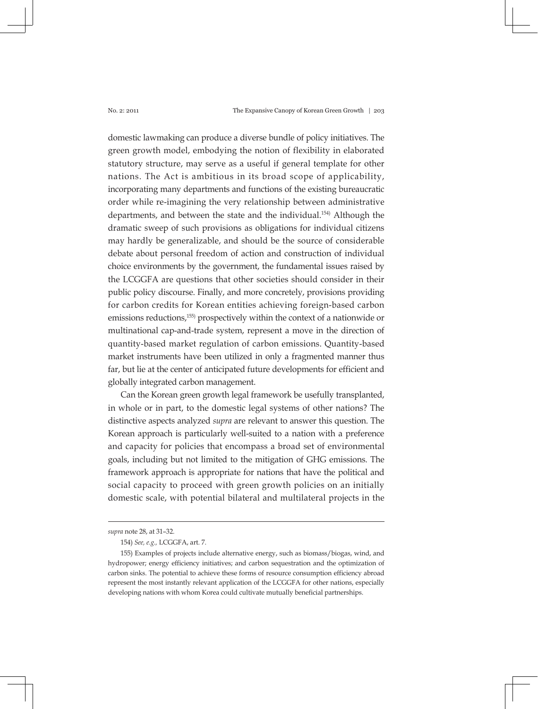domestic lawmaking can produce a diverse bundle of policy initiatives. The green growth model, embodying the notion of flexibility in elaborated statutory structure, may serve as a useful if general template for other nations. The Act is ambitious in its broad scope of applicability, incorporating many departments and functions of the existing bureaucratic order while re-imagining the very relationship between administrative departments, and between the state and the individual.<sup>154)</sup> Although the dramatic sweep of such provisions as obligations for individual citizens may hardly be generalizable, and should be the source of considerable debate about personal freedom of action and construction of individual choice environments by the government, the fundamental issues raised by the LCGGFA are questions that other societies should consider in their public policy discourse. Finally, and more concretely, provisions providing for carbon credits for Korean entities achieving foreign-based carbon emissions reductions,<sup>155)</sup> prospectively within the context of a nationwide or multinational cap-and-trade system, represent a move in the direction of quantity-based market regulation of carbon emissions. Quantity-based market instruments have been utilized in only a fragmented manner thus far, but lie at the center of anticipated future developments for efficient and globally integrated carbon management.

Can the Korean green growth legal framework be usefully transplanted, in whole or in part, to the domestic legal systems of other nations? The distinctive aspects analyzed *supra* are relevant to answer this question. The Korean approach is particularly well-suited to a nation with a preference and capacity for policies that encompass a broad set of environmental goals, including but not limited to the mitigation of GHG emissions. The framework approach is appropriate for nations that have the political and social capacity to proceed with green growth policies on an initially domestic scale, with potential bilateral and multilateral projects in the

*supra* note 28, at 31–32.

<sup>154)</sup> *See, e.g.,* LCGGFA, art. 7.

<sup>155)</sup> Examples of projects include alternative energy, such as biomass/biogas, wind, and hydropower; energy efficiency initiatives; and carbon sequestration and the optimization of carbon sinks. The potential to achieve these forms of resource consumption efficiency abroad represent the most instantly relevant application of the LCGGFA for other nations, especially developing nations with whom Korea could cultivate mutually beneficial partnerships.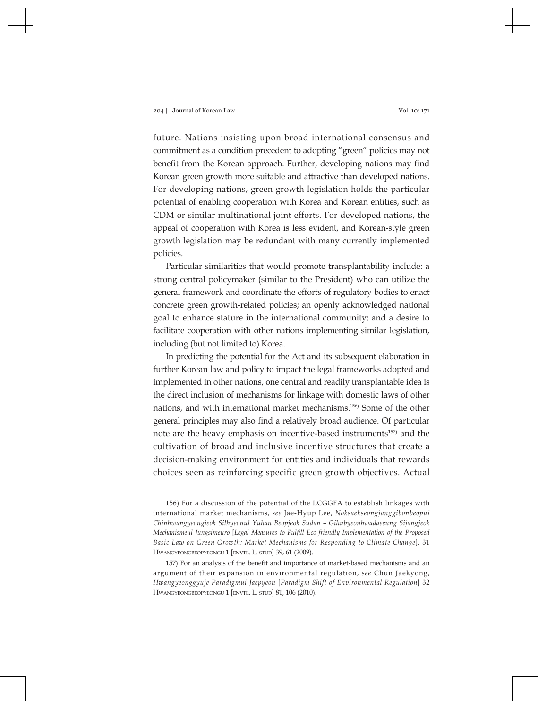future. Nations insisting upon broad international consensus and commitment as a condition precedent to adopting "green" policies may not benefit from the Korean approach. Further, developing nations may find Korean green growth more suitable and attractive than developed nations. For developing nations, green growth legislation holds the particular potential of enabling cooperation with Korea and Korean entities, such as CDM or similar multinational joint efforts. For developed nations, the appeal of cooperation with Korea is less evident, and Korean-style green growth legislation may be redundant with many currently implemented policies.

Particular similarities that would promote transplantability include: a strong central policymaker (similar to the President) who can utilize the general framework and coordinate the efforts of regulatory bodies to enact concrete green growth-related policies; an openly acknowledged national goal to enhance stature in the international community; and a desire to facilitate cooperation with other nations implementing similar legislation, including (but not limited to) Korea.

In predicting the potential for the Act and its subsequent elaboration in further Korean law and policy to impact the legal frameworks adopted and implemented in other nations, one central and readily transplantable idea is the direct inclusion of mechanisms for linkage with domestic laws of other nations, and with international market mechanisms.156) Some of the other general principles may also find a relatively broad audience. Of particular note are the heavy emphasis on incentive-based instruments<sup>157)</sup> and the cultivation of broad and inclusive incentive structures that create a decision-making environment for entities and individuals that rewards choices seen as reinforcing specific green growth objectives. Actual

<sup>156)</sup> For a discussion of the potential of the LCGGFA to establish linkages with international market mechanisms, *see* Jae-Hyup Lee, *Noksaekseongjanggibonbeopui Chinhwangyeongjeok Silhyeonul Yuhan Beopjeok Sudan – Gihubyeonhwadaeeung Sijangjeok Mechanismeul Jungsimeuro* [*Legal Measures to Fulfill Eco-friendly Implementation of the Proposed Basic Law on Green Growth: Market Mechanisms for Responding to Climate Change*], 31 Hwangyeongbeopyeongu 1 [envtl. L. stud] 39, 61 (2009).

<sup>157)</sup> For an analysis of the benefit and importance of market-based mechanisms and an argument of their expansion in environmental regulation, *see* Chun Jaekyong, *Hwangyeonggyuje Paradigmui Jaepyeon* [*Paradigm Shift of Environmental Regulation*] 32 Hwangyeongbeopyeongu 1 [envtl. L. stud] 81, 106 (2010).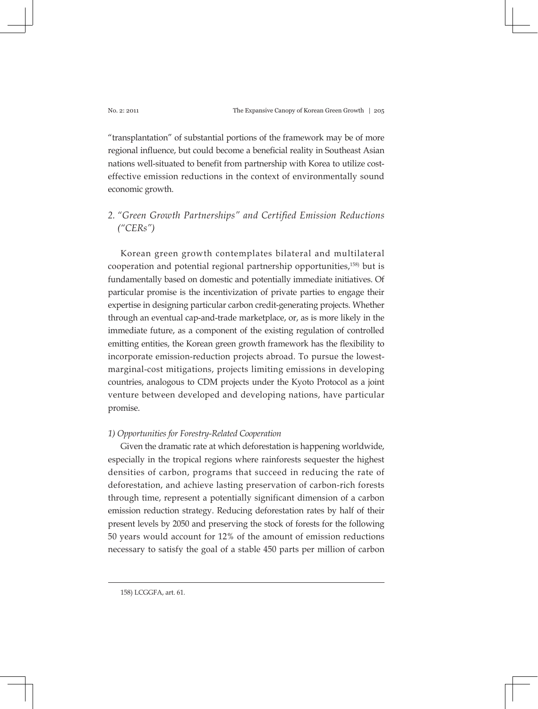"transplantation" of substantial portions of the framework may be of more regional influence, but could become a beneficial reality in Southeast Asian nations well-situated to benefit from partnership with Korea to utilize costeffective emission reductions in the context of environmentally sound economic growth.

# *2. "Green Growth Partnerships" and Certified Emission Reductions ("CERs")*

Korean green growth contemplates bilateral and multilateral cooperation and potential regional partnership opportunities,158) but is fundamentally based on domestic and potentially immediate initiatives. Of particular promise is the incentivization of private parties to engage their expertise in designing particular carbon credit-generating projects. Whether through an eventual cap-and-trade marketplace, or, as is more likely in the immediate future, as a component of the existing regulation of controlled emitting entities, the Korean green growth framework has the flexibility to incorporate emission-reduction projects abroad. To pursue the lowestmarginal-cost mitigations, projects limiting emissions in developing countries, analogous to CDM projects under the Kyoto Protocol as a joint venture between developed and developing nations, have particular promise.

# *1) Opportunities for Forestry-Related Cooperation*

Given the dramatic rate at which deforestation is happening worldwide, especially in the tropical regions where rainforests sequester the highest densities of carbon, programs that succeed in reducing the rate of deforestation, and achieve lasting preservation of carbon-rich forests through time, represent a potentially significant dimension of a carbon emission reduction strategy. Reducing deforestation rates by half of their present levels by 2050 and preserving the stock of forests for the following 50 years would account for 12% of the amount of emission reductions necessary to satisfy the goal of a stable 450 parts per million of carbon

<sup>158)</sup> LCGGFA, art. 61.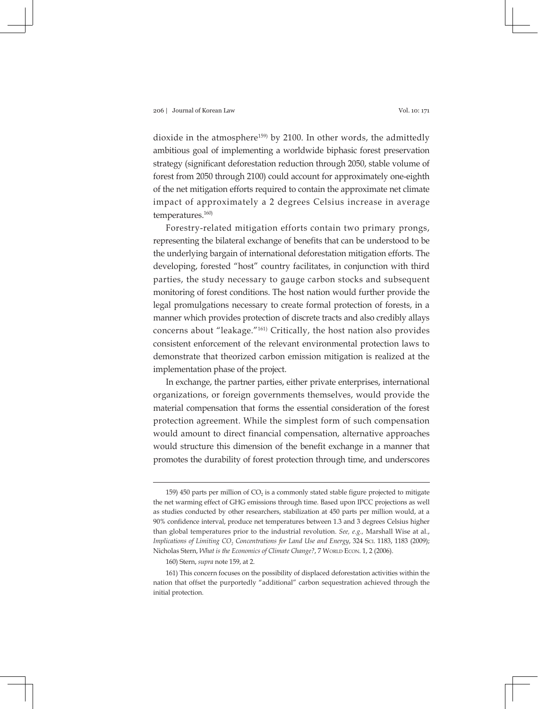dioxide in the atmosphere<sup>159)</sup> by 2100. In other words, the admittedly ambitious goal of implementing a worldwide biphasic forest preservation strategy (significant deforestation reduction through 2050, stable volume of forest from 2050 through 2100) could account for approximately one-eighth of the net mitigation efforts required to contain the approximate net climate impact of approximately a 2 degrees Celsius increase in average temperatures.160)

Forestry-related mitigation efforts contain two primary prongs, representing the bilateral exchange of benefits that can be understood to be the underlying bargain of international deforestation mitigation efforts. The developing, forested "host" country facilitates, in conjunction with third parties, the study necessary to gauge carbon stocks and subsequent monitoring of forest conditions. The host nation would further provide the legal promulgations necessary to create formal protection of forests, in a manner which provides protection of discrete tracts and also credibly allays concerns about "leakage."161) Critically, the host nation also provides consistent enforcement of the relevant environmental protection laws to demonstrate that theorized carbon emission mitigation is realized at the implementation phase of the project.

In exchange, the partner parties, either private enterprises, international organizations, or foreign governments themselves, would provide the material compensation that forms the essential consideration of the forest protection agreement. While the simplest form of such compensation would amount to direct financial compensation, alternative approaches would structure this dimension of the benefit exchange in a manner that promotes the durability of forest protection through time, and underscores

160) Stern, *supra* note 159, at 2.

<sup>159) 450</sup> parts per million of  $CO<sub>2</sub>$  is a commonly stated stable figure projected to mitigate the net warming effect of GHG emissions through time. Based upon IPCC projections as well as studies conducted by other researchers, stabilization at 450 parts per million would, at a 90% confidence interval, produce net temperatures between 1.3 and 3 degrees Celsius higher than global temperatures prior to the industrial revolution. *See, e.g.,* Marshall Wise at al., Implications of Limiting CO<sub>2</sub> Concentrations for Land Use and Energy, 324 Sci. 1183, 1183 (2009); Nicholas Stern, *What is the Economics of Climate Change?*, 7 WORLD ECON. 1, 2 (2006).

<sup>161)</sup> This concern focuses on the possibility of displaced deforestation activities within the nation that offset the purportedly "additional" carbon sequestration achieved through the initial protection.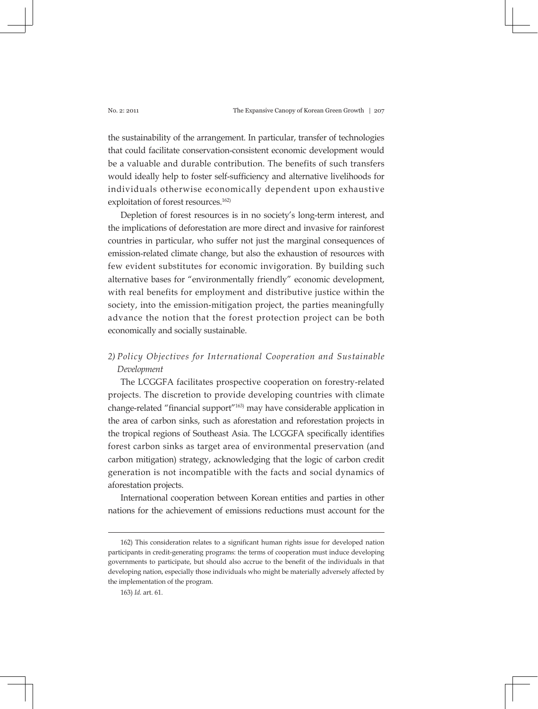the sustainability of the arrangement. In particular, transfer of technologies that could facilitate conservation-consistent economic development would be a valuable and durable contribution. The benefits of such transfers would ideally help to foster self-sufficiency and alternative livelihoods for individuals otherwise economically dependent upon exhaustive exploitation of forest resources.<sup>162)</sup>

Depletion of forest resources is in no society's long-term interest, and the implications of deforestation are more direct and invasive for rainforest countries in particular, who suffer not just the marginal consequences of emission-related climate change, but also the exhaustion of resources with few evident substitutes for economic invigoration. By building such alternative bases for "environmentally friendly" economic development, with real benefits for employment and distributive justice within the society, into the emission-mitigation project, the parties meaningfully advance the notion that the forest protection project can be both economically and socially sustainable.

# *2) Policy Objectives for International Cooperation and Sustainable Development*

The LCGGFA facilitates prospective cooperation on forestry-related projects. The discretion to provide developing countries with climate change-related "financial support"163) may have considerable application in the area of carbon sinks, such as aforestation and reforestation projects in the tropical regions of Southeast Asia. The LCGGFA specifically identifies forest carbon sinks as target area of environmental preservation (and carbon mitigation) strategy, acknowledging that the logic of carbon credit generation is not incompatible with the facts and social dynamics of aforestation projects.

International cooperation between Korean entities and parties in other nations for the achievement of emissions reductions must account for the

<sup>162)</sup> This consideration relates to a significant human rights issue for developed nation participants in credit-generating programs: the terms of cooperation must induce developing governments to participate, but should also accrue to the benefit of the individuals in that developing nation, especially those individuals who might be materially adversely affected by the implementation of the program.

<sup>163)</sup> *Id.* art. 61.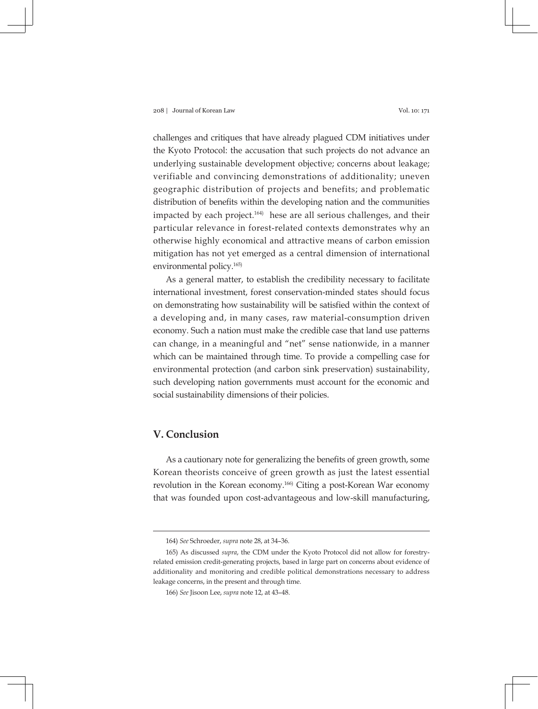challenges and critiques that have already plagued CDM initiatives under the Kyoto Protocol: the accusation that such projects do not advance an underlying sustainable development objective; concerns about leakage; verifiable and convincing demonstrations of additionality; uneven geographic distribution of projects and benefits; and problematic distribution of benefits within the developing nation and the communities impacted by each project.<sup>164)</sup> hese are all serious challenges, and their particular relevance in forest-related contexts demonstrates why an otherwise highly economical and attractive means of carbon emission mitigation has not yet emerged as a central dimension of international environmental policy.<sup>165)</sup>

As a general matter, to establish the credibility necessary to facilitate international investment, forest conservation-minded states should focus on demonstrating how sustainability will be satisfied within the context of a developing and, in many cases, raw material-consumption driven economy. Such a nation must make the credible case that land use patterns can change, in a meaningful and "net" sense nationwide, in a manner which can be maintained through time. To provide a compelling case for environmental protection (and carbon sink preservation) sustainability, such developing nation governments must account for the economic and social sustainability dimensions of their policies.

# **V. Conclusion**

As a cautionary note for generalizing the benefits of green growth, some Korean theorists conceive of green growth as just the latest essential revolution in the Korean economy.<sup>166)</sup> Citing a post-Korean War economy that was founded upon cost-advantageous and low-skill manufacturing,

<sup>164)</sup> *See* Schroeder, *supra* note 28, at 34–36.

<sup>165)</sup> As discussed *supra*, the CDM under the Kyoto Protocol did not allow for forestryrelated emission credit-generating projects, based in large part on concerns about evidence of additionality and monitoring and credible political demonstrations necessary to address leakage concerns, in the present and through time.

<sup>166)</sup> *See* Jisoon Lee, *supra* note 12, at 43–48.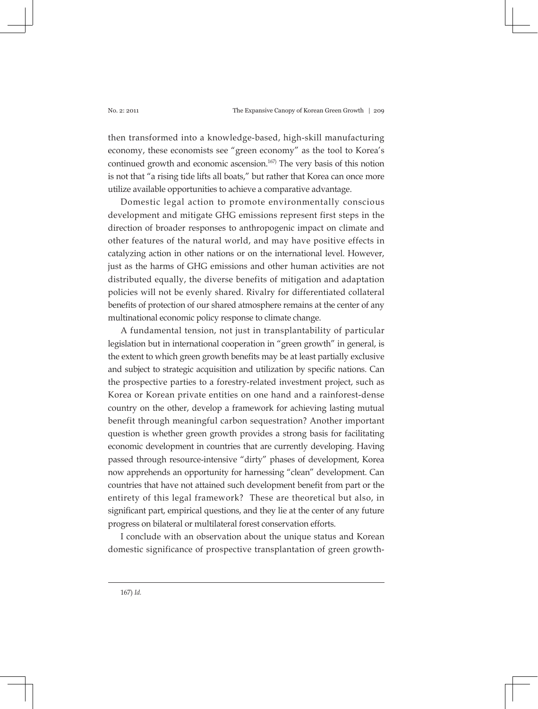then transformed into a knowledge-based, high-skill manufacturing economy, these economists see "green economy" as the tool to Korea's continued growth and economic ascension.167) The very basis of this notion is not that "a rising tide lifts all boats," but rather that Korea can once more utilize available opportunities to achieve a comparative advantage.

Domestic legal action to promote environmentally conscious development and mitigate GHG emissions represent first steps in the direction of broader responses to anthropogenic impact on climate and other features of the natural world, and may have positive effects in catalyzing action in other nations or on the international level. However, just as the harms of GHG emissions and other human activities are not distributed equally, the diverse benefits of mitigation and adaptation policies will not be evenly shared. Rivalry for differentiated collateral benefits of protection of our shared atmosphere remains at the center of any multinational economic policy response to climate change.

A fundamental tension, not just in transplantability of particular legislation but in international cooperation in "green growth" in general, is the extent to which green growth benefits may be at least partially exclusive and subject to strategic acquisition and utilization by specific nations. Can the prospective parties to a forestry-related investment project, such as Korea or Korean private entities on one hand and a rainforest-dense country on the other, develop a framework for achieving lasting mutual benefit through meaningful carbon sequestration? Another important question is whether green growth provides a strong basis for facilitating economic development in countries that are currently developing. Having passed through resource-intensive "dirty" phases of development, Korea now apprehends an opportunity for harnessing "clean" development. Can countries that have not attained such development benefit from part or the entirety of this legal framework? These are theoretical but also, in significant part, empirical questions, and they lie at the center of any future progress on bilateral or multilateral forest conservation efforts.

I conclude with an observation about the unique status and Korean domestic significance of prospective transplantation of green growth-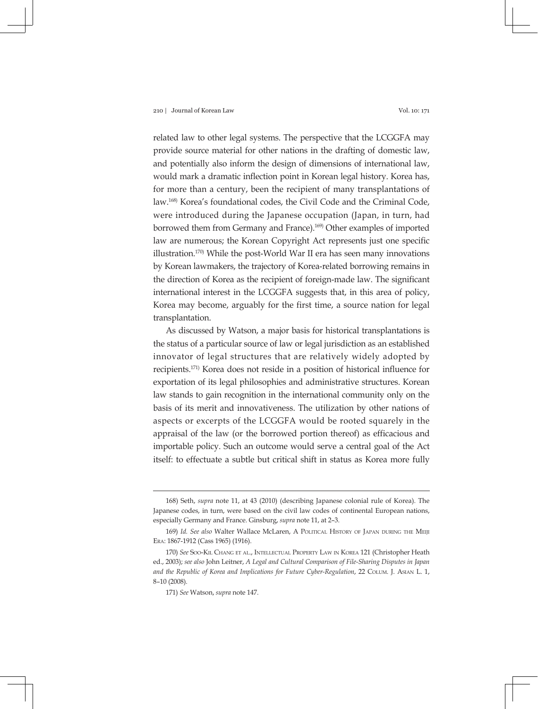related law to other legal systems. The perspective that the LCGGFA may provide source material for other nations in the drafting of domestic law, and potentially also inform the design of dimensions of international law, would mark a dramatic inflection point in Korean legal history. Korea has, for more than a century, been the recipient of many transplantations of law.168) Korea's foundational codes, the Civil Code and the Criminal Code, were introduced during the Japanese occupation (Japan, in turn, had borrowed them from Germany and France).<sup>169)</sup> Other examples of imported law are numerous; the Korean Copyright Act represents just one specific illustration.170) While the post-World War II era has seen many innovations by Korean lawmakers, the trajectory of Korea-related borrowing remains in the direction of Korea as the recipient of foreign-made law. The significant international interest in the LCGGFA suggests that, in this area of policy, Korea may become, arguably for the first time, a source nation for legal transplantation.

As discussed by Watson, a major basis for historical transplantations is the status of a particular source of law or legal jurisdiction as an established innovator of legal structures that are relatively widely adopted by recipients.171) Korea does not reside in a position of historical influence for exportation of its legal philosophies and administrative structures. Korean law stands to gain recognition in the international community only on the basis of its merit and innovativeness. The utilization by other nations of aspects or excerpts of the LCGGFA would be rooted squarely in the appraisal of the law (or the borrowed portion thereof) as efficacious and importable policy. Such an outcome would serve a central goal of the Act itself: to effectuate a subtle but critical shift in status as Korea more fully

<sup>168)</sup> Seth, *supra* note 11, at 43 (2010) (describing Japanese colonial rule of Korea). The Japanese codes, in turn, were based on the civil law codes of continental European nations, especially Germany and France. Ginsburg, *supra* note 11, at 2–3.

<sup>169)</sup> *Id. See also* Walter Wallace McLaren, A Political History of Japan during the Meiji Era: 1867-1912 (Cass 1965) (1916).

<sup>170)</sup> *See* Soo-Kil Chang et al., Intellectual Property Law in Korea 121 (Christopher Heath ed., 2003); *see also* John Leitner, *A Legal and Cultural Comparison of File-Sharing Disputes in Japan and the Republic of Korea and Implications for Future Cyber-Regulation*, 22 Colum. J. Asian L. 1, 8–10 (2008).

<sup>171)</sup> *See* Watson, *supra* note 147.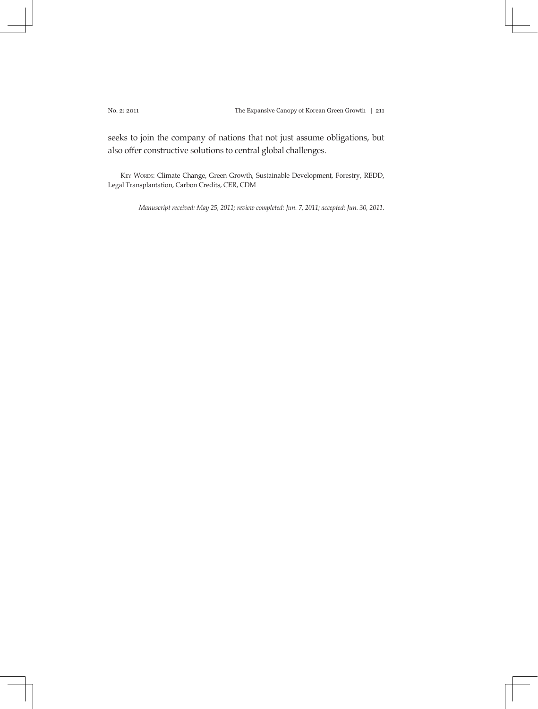seeks to join the company of nations that not just assume obligations, but also offer constructive solutions to central global challenges.

KEY WORDS: Climate Change, Green Growth, Sustainable Development, Forestry, REDD, Legal Transplantation, Carbon Credits, CER, CDM

*Manuscript received: May 25, 2011; review completed: Jun. 7, 2011; accepted: Jun. 30, 2011.*